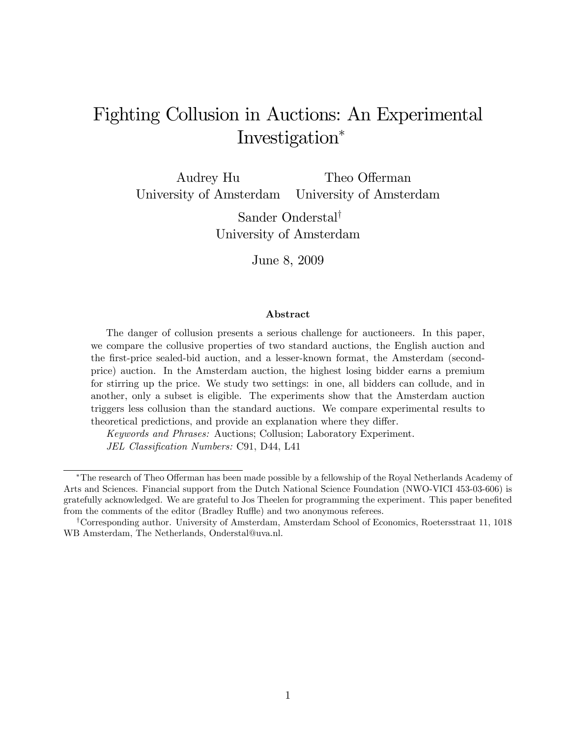# Fighting Collusion in Auctions: An Experimental Investigation\*

Audrey Hu University of Amsterdam Theo Offerman University of Amsterdam

> Sander Onderstal<sup>†</sup> University of Amsterdam

> > June 8, 2009

#### Abstract

The danger of collusion presents a serious challenge for auctioneers. In this paper, we compare the collusive properties of two standard auctions, the English auction and the first-price sealed-bid auction, and a lesser-known format, the Amsterdam (secondprice) auction. In the Amsterdam auction, the highest losing bidder earns a premium for stirring up the price. We study two settings: in one, all bidders can collude, and in another, only a subset is eligible. The experiments show that the Amsterdam auction triggers less collusion than the standard auctions. We compare experimental results to theoretical predictions, and provide an explanation where they differ.

Keywords and Phrases: Auctions; Collusion; Laboratory Experiment. JEL Classification Numbers: C91, D44, L41

<sup>&</sup>lt;sup>\*</sup>The research of Theo Offerman has been made possible by a fellowship of the Royal Netherlands Academy of Arts and Sciences. Financial support from the Dutch National Science Foundation (NWO-VICI 453-03-606) is gratefully acknowledged. We are grateful to Jos Theelen for programming the experiment. This paper benefited from the comments of the editor (Bradley Ruffle) and two anonymous referees.

<sup>y</sup>Corresponding author. University of Amsterdam, Amsterdam School of Economics, Roetersstraat 11, 1018 WB Amsterdam, The Netherlands, Onderstal@uva.nl.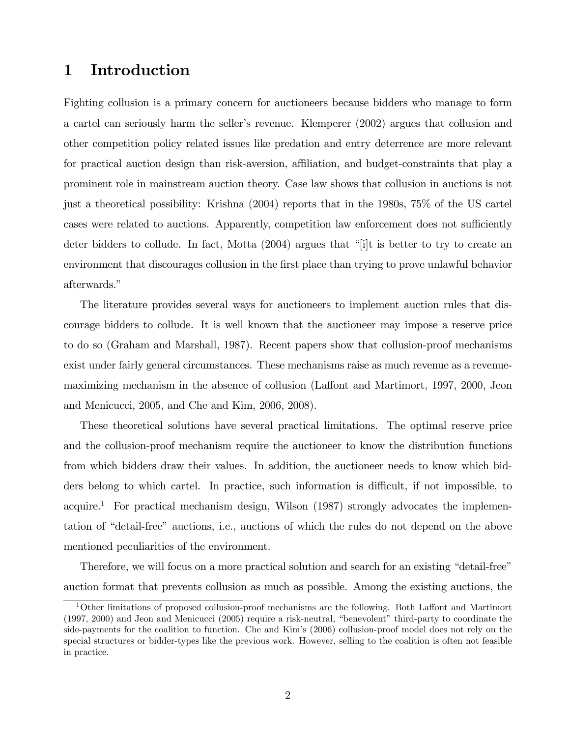## 1 Introduction

Fighting collusion is a primary concern for auctioneers because bidders who manage to form a cartel can seriously harm the seller's revenue. Klemperer (2002) argues that collusion and other competition policy related issues like predation and entry deterrence are more relevant for practical auction design than risk-aversion, affiliation, and budget-constraints that play a prominent role in mainstream auction theory. Case law shows that collusion in auctions is not just a theoretical possibility: Krishna (2004) reports that in the 1980s, 75% of the US cartel cases were related to auctions. Apparently, competition law enforcement does not sufficiently deter bidders to collude. In fact, Motta  $(2004)$  argues that "[i]t is better to try to create an environment that discourages collusion in the first place than trying to prove unlawful behavior afterwards."

The literature provides several ways for auctioneers to implement auction rules that discourage bidders to collude. It is well known that the auctioneer may impose a reserve price to do so (Graham and Marshall, 1987). Recent papers show that collusion-proof mechanisms exist under fairly general circumstances. These mechanisms raise as much revenue as a revenuemaximizing mechanism in the absence of collusion (Laffont and Martimort, 1997, 2000, Jeon and Menicucci, 2005, and Che and Kim, 2006, 2008).

These theoretical solutions have several practical limitations. The optimal reserve price and the collusion-proof mechanism require the auctioneer to know the distribution functions from which bidders draw their values. In addition, the auctioneer needs to know which bidders belong to which cartel. In practice, such information is difficult, if not impossible, to acquire.<sup>1</sup> For practical mechanism design, Wilson  $(1987)$  strongly advocates the implementation of "detail-free" auctions, i.e., auctions of which the rules do not depend on the above mentioned peculiarities of the environment.

Therefore, we will focus on a more practical solution and search for an existing "detail-free" auction format that prevents collusion as much as possible. Among the existing auctions, the

 $1$ Other limitations of proposed collusion-proof mechanisms are the following. Both Laffont and Martimort  $(1997, 2000)$  and Jeon and Menicucci  $(2005)$  require a risk-neutral, "benevolent" third-party to coordinate the side-payments for the coalition to function. Che and Kim's (2006) collusion-proof model does not rely on the special structures or bidder-types like the previous work. However, selling to the coalition is often not feasible in practice.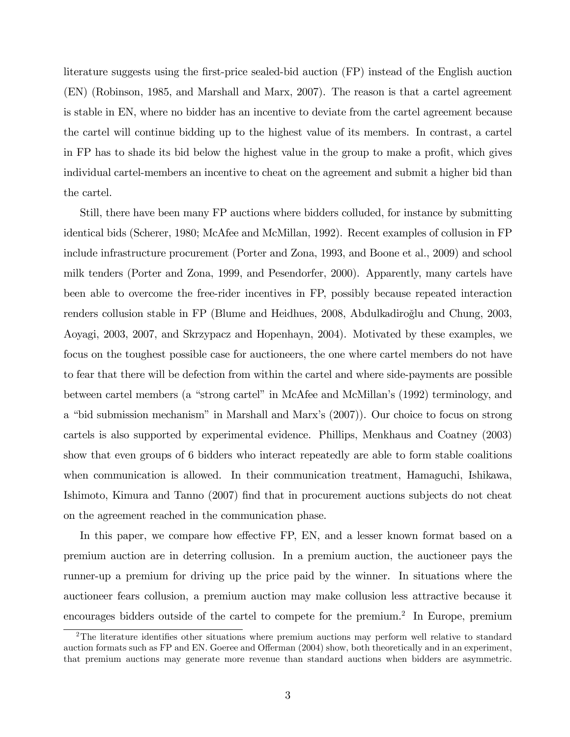literature suggests using the first-price sealed-bid auction (FP) instead of the English auction (EN) (Robinson, 1985, and Marshall and Marx, 2007). The reason is that a cartel agreement is stable in EN, where no bidder has an incentive to deviate from the cartel agreement because the cartel will continue bidding up to the highest value of its members. In contrast, a cartel in FP has to shade its bid below the highest value in the group to make a profit, which gives individual cartel-members an incentive to cheat on the agreement and submit a higher bid than the cartel.

Still, there have been many FP auctions where bidders colluded, for instance by submitting identical bids (Scherer, 1980; McAfee and McMillan, 1992). Recent examples of collusion in FP include infrastructure procurement (Porter and Zona, 1993, and Boone et al., 2009) and school milk tenders (Porter and Zona, 1999, and Pesendorfer, 2000). Apparently, many cartels have been able to overcome the free-rider incentives in FP, possibly because repeated interaction renders collusion stable in FP (Blume and Heidhues, 2008, Abdulkadiroğlu and Chung, 2003, Aoyagi, 2003, 2007, and Skrzypacz and Hopenhayn, 2004). Motivated by these examples, we focus on the toughest possible case for auctioneers, the one where cartel members do not have to fear that there will be defection from within the cartel and where side-payments are possible between cartel members (a "strong cartel" in McAfee and McMillan's (1992) terminology, and a "bid submission mechanism" in Marshall and Marx's (2007)). Our choice to focus on strong cartels is also supported by experimental evidence. Phillips, Menkhaus and Coatney (2003) show that even groups of 6 bidders who interact repeatedly are able to form stable coalitions when communication is allowed. In their communication treatment, Hamaguchi, Ishikawa, Ishimoto, Kimura and Tanno (2007) find that in procurement auctions subjects do not cheat on the agreement reached in the communication phase.

In this paper, we compare how effective FP, EN, and a lesser known format based on a premium auction are in deterring collusion. In a premium auction, the auctioneer pays the runner-up a premium for driving up the price paid by the winner. In situations where the auctioneer fears collusion, a premium auction may make collusion less attractive because it encourages bidders outside of the cartel to compete for the premium.<sup>2</sup> In Europe, premium

<sup>&</sup>lt;sup>2</sup>The literature identifies other situations where premium auctions may perform well relative to standard auction formats such as FP and EN. Goeree and Offerman (2004) show, both theoretically and in an experiment, that premium auctions may generate more revenue than standard auctions when bidders are asymmetric.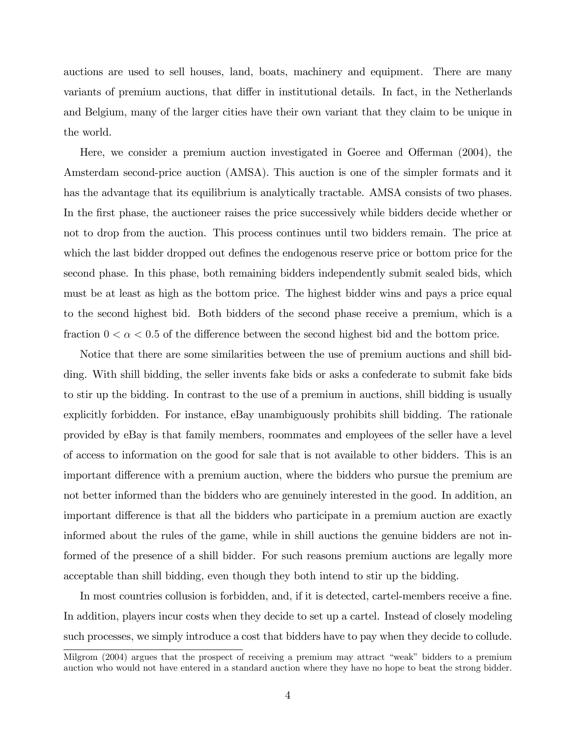auctions are used to sell houses, land, boats, machinery and equipment. There are many variants of premium auctions, that differ in institutional details. In fact, in the Netherlands and Belgium, many of the larger cities have their own variant that they claim to be unique in the world.

Here, we consider a premium auction investigated in Goeree and Offerman  $(2004)$ , the Amsterdam second-price auction (AMSA). This auction is one of the simpler formats and it has the advantage that its equilibrium is analytically tractable. AMSA consists of two phases. In the first phase, the auctioneer raises the price successively while bidders decide whether or not to drop from the auction. This process continues until two bidders remain. The price at which the last bidder dropped out defines the endogenous reserve price or bottom price for the second phase. In this phase, both remaining bidders independently submit sealed bids, which must be at least as high as the bottom price. The highest bidder wins and pays a price equal to the second highest bid. Both bidders of the second phase receive a premium, which is a fraction  $0 < \alpha < 0.5$  of the difference between the second highest bid and the bottom price.

Notice that there are some similarities between the use of premium auctions and shill bidding. With shill bidding, the seller invents fake bids or asks a confederate to submit fake bids to stir up the bidding. In contrast to the use of a premium in auctions, shill bidding is usually explicitly forbidden. For instance, eBay unambiguously prohibits shill bidding. The rationale provided by eBay is that family members, roommates and employees of the seller have a level of access to information on the good for sale that is not available to other bidders. This is an important difference with a premium auction, where the bidders who pursue the premium are not better informed than the bidders who are genuinely interested in the good. In addition, an important difference is that all the bidders who participate in a premium auction are exactly informed about the rules of the game, while in shill auctions the genuine bidders are not informed of the presence of a shill bidder. For such reasons premium auctions are legally more acceptable than shill bidding, even though they both intend to stir up the bidding.

In most countries collusion is forbidden, and, if it is detected, cartel-members receive a fine. In addition, players incur costs when they decide to set up a cartel. Instead of closely modeling such processes, we simply introduce a cost that bidders have to pay when they decide to collude.

Milgrom (2004) argues that the prospect of receiving a premium may attract "weak" bidders to a premium auction who would not have entered in a standard auction where they have no hope to beat the strong bidder.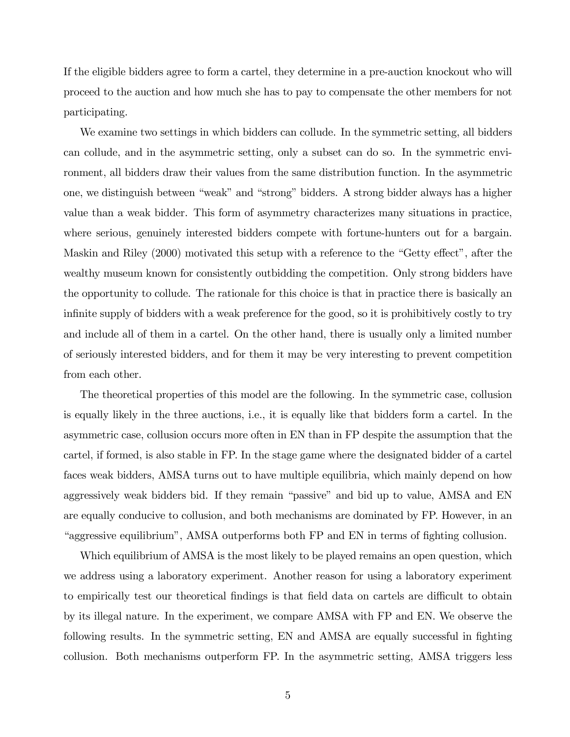If the eligible bidders agree to form a cartel, they determine in a pre-auction knockout who will proceed to the auction and how much she has to pay to compensate the other members for not participating.

We examine two settings in which bidders can collude. In the symmetric setting, all bidders can collude, and in the asymmetric setting, only a subset can do so. In the symmetric environment, all bidders draw their values from the same distribution function. In the asymmetric one, we distinguish between "weak" and "strong" bidders. A strong bidder always has a higher value than a weak bidder. This form of asymmetry characterizes many situations in practice, where serious, genuinely interested bidders compete with fortune-hunters out for a bargain. Maskin and Riley  $(2000)$  motivated this setup with a reference to the "Getty effect", after the wealthy museum known for consistently outbidding the competition. Only strong bidders have the opportunity to collude. The rationale for this choice is that in practice there is basically an infinite supply of bidders with a weak preference for the good, so it is prohibitively costly to try and include all of them in a cartel. On the other hand, there is usually only a limited number of seriously interested bidders, and for them it may be very interesting to prevent competition from each other.

The theoretical properties of this model are the following. In the symmetric case, collusion is equally likely in the three auctions, i.e., it is equally like that bidders form a cartel. In the asymmetric case, collusion occurs more often in EN than in FP despite the assumption that the cartel, if formed, is also stable in FP. In the stage game where the designated bidder of a cartel faces weak bidders, AMSA turns out to have multiple equilibria, which mainly depend on how aggressively weak bidders bid. If they remain "passive" and bid up to value, AMSA and EN are equally conducive to collusion, and both mechanisms are dominated by FP. However, in an "aggressive equilibrium", AMSA outperforms both FP and EN in terms of fighting collusion.

Which equilibrium of AMSA is the most likely to be played remains an open question, which we address using a laboratory experiment. Another reason for using a laboratory experiment to empirically test our theoretical findings is that field data on cartels are difficult to obtain by its illegal nature. In the experiment, we compare AMSA with FP and EN. We observe the following results. In the symmetric setting, EN and AMSA are equally successful in fighting collusion. Both mechanisms outperform FP. In the asymmetric setting, AMSA triggers less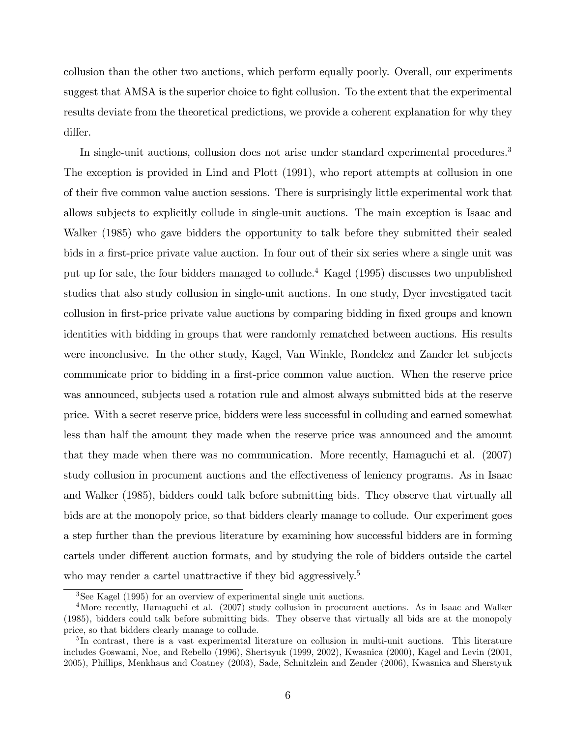collusion than the other two auctions, which perform equally poorly. Overall, our experiments suggest that AMSA is the superior choice to fight collusion. To the extent that the experimental results deviate from the theoretical predictions, we provide a coherent explanation for why they differ.

In single-unit auctions, collusion does not arise under standard experimental procedures.<sup>3</sup> The exception is provided in Lind and Plott (1991), who report attempts at collusion in one of their Öve common value auction sessions. There is surprisingly little experimental work that allows subjects to explicitly collude in single-unit auctions. The main exception is Isaac and Walker (1985) who gave bidders the opportunity to talk before they submitted their sealed bids in a first-price private value auction. In four out of their six series where a single unit was put up for sale, the four bidders managed to collude.<sup>4</sup> Kagel (1995) discusses two unpublished studies that also study collusion in single-unit auctions. In one study, Dyer investigated tacit collusion in first-price private value auctions by comparing bidding in fixed groups and known identities with bidding in groups that were randomly rematched between auctions. His results were inconclusive. In the other study, Kagel, Van Winkle, Rondelez and Zander let subjects communicate prior to bidding in a first-price common value auction. When the reserve price was announced, subjects used a rotation rule and almost always submitted bids at the reserve price. With a secret reserve price, bidders were less successful in colluding and earned somewhat less than half the amount they made when the reserve price was announced and the amount that they made when there was no communication. More recently, Hamaguchi et al. (2007) study collusion in procument auctions and the effectiveness of leniency programs. As in Isaac and Walker (1985), bidders could talk before submitting bids. They observe that virtually all bids are at the monopoly price, so that bidders clearly manage to collude. Our experiment goes a step further than the previous literature by examining how successful bidders are in forming cartels under different auction formats, and by studying the role of bidders outside the cartel who may render a cartel unattractive if they bid aggressively.<sup>5</sup>

<sup>3</sup>See Kagel (1995) for an overview of experimental single unit auctions.

<sup>&</sup>lt;sup>4</sup>More recently, Hamaguchi et al. (2007) study collusion in procument auctions. As in Isaac and Walker (1985), bidders could talk before submitting bids. They observe that virtually all bids are at the monopoly price, so that bidders clearly manage to collude.

<sup>&</sup>lt;sup>5</sup>In contrast, there is a vast experimental literature on collusion in multi-unit auctions. This literature includes Goswami, Noe, and Rebello (1996), Shertsyuk (1999, 2002), Kwasnica (2000), Kagel and Levin (2001, 2005), Phillips, Menkhaus and Coatney (2003), Sade, Schnitzlein and Zender (2006), Kwasnica and Sherstyuk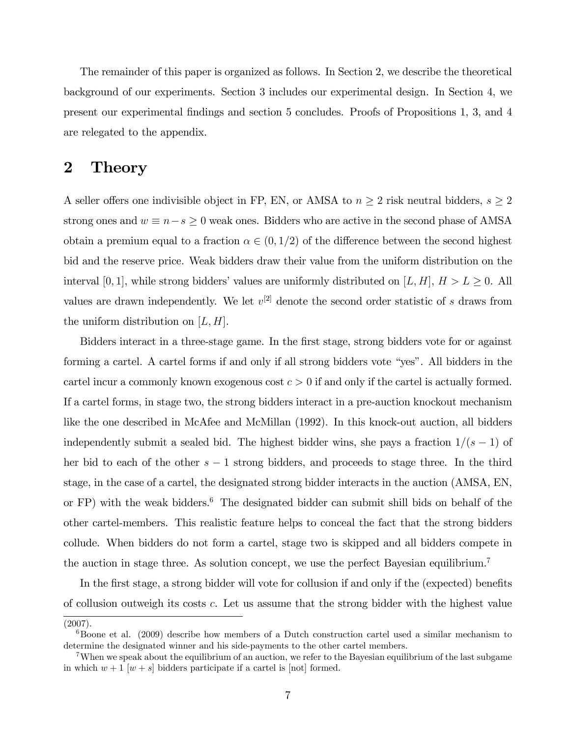The remainder of this paper is organized as follows. In Section 2, we describe the theoretical background of our experiments. Section 3 includes our experimental design. In Section 4, we present our experimental Öndings and section 5 concludes. Proofs of Propositions 1, 3, and 4 are relegated to the appendix.

## 2 Theory

A seller offers one indivisible object in FP, EN, or AMSA to  $n \geq 2$  risk neutral bidders,  $s \geq 2$ strong ones and  $w \equiv n - s \ge 0$  weak ones. Bidders who are active in the second phase of AMSA obtain a premium equal to a fraction  $\alpha \in (0, 1/2)$  of the difference between the second highest bid and the reserve price. Weak bidders draw their value from the uniform distribution on the interval [0, 1], while strong bidders' values are uniformly distributed on [L, H],  $H > L \ge 0$ . All values are drawn independently. We let  $v^{[2]}$  denote the second order statistic of s draws from the uniform distribution on  $[L, H]$ .

Bidders interact in a three-stage game. In the first stage, strong bidders vote for or against forming a cartel. A cartel forms if and only if all strong bidders vote "yes". All bidders in the cartel incur a commonly known exogenous cost  $c > 0$  if and only if the cartel is actually formed. If a cartel forms, in stage two, the strong bidders interact in a pre-auction knockout mechanism like the one described in McAfee and McMillan (1992). In this knock-out auction, all bidders independently submit a sealed bid. The highest bidder wins, she pays a fraction  $1/(s - 1)$  of her bid to each of the other  $s - 1$  strong bidders, and proceeds to stage three. In the third stage, in the case of a cartel, the designated strong bidder interacts in the auction (AMSA, EN, or  $FP$ ) with the weak bidders.<sup>6</sup> The designated bidder can submit shill bids on behalf of the other cartel-members. This realistic feature helps to conceal the fact that the strong bidders collude. When bidders do not form a cartel, stage two is skipped and all bidders compete in the auction in stage three. As solution concept, we use the perfect Bayesian equilibrium.<sup>7</sup>

In the first stage, a strong bidder will vote for collusion if and only if the (expected) benefits of collusion outweigh its costs  $c$ . Let us assume that the strong bidder with the highest value

<sup>(2007).</sup>

 $6B$ oone et al. (2009) describe how members of a Dutch construction cartel used a similar mechanism to determine the designated winner and his side-payments to the other cartel members.

<sup>&</sup>lt;sup>7</sup>When we speak about the equilibrium of an auction, we refer to the Bayesian equilibrium of the last subgame in which  $w + 1$   $[w + s]$  bidders participate if a cartel is [not] formed.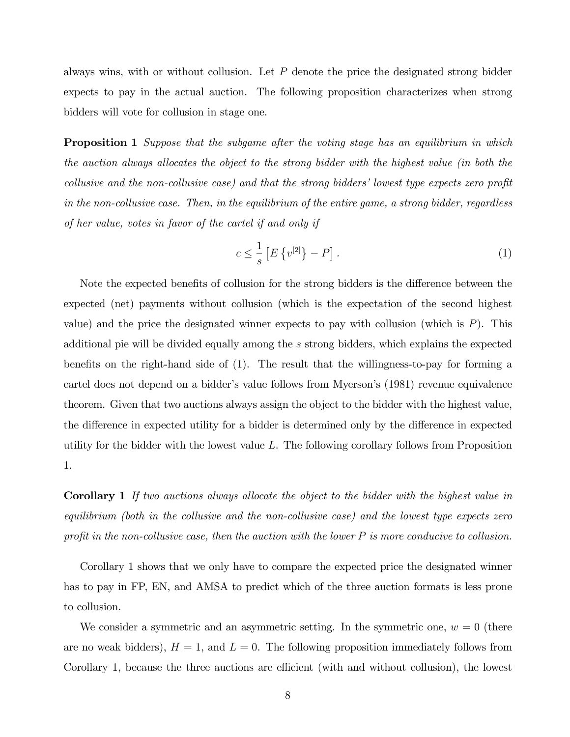always wins, with or without collusion. Let P denote the price the designated strong bidder expects to pay in the actual auction. The following proposition characterizes when strong bidders will vote for collusion in stage one.

**Proposition 1** Suppose that the subgame after the voting stage has an equilibrium in which the auction always allocates the object to the strong bidder with the highest value (in both the  $collusive\ and\ the\ non-collusive\ case)$  and that the strong bidders' lowest type expects zero profit in the non-collusive case. Then, in the equilibrium of the entire game, a strong bidder, regardless of her value, votes in favor of the cartel if and only if

$$
c \le \frac{1}{s} \left[ E \left\{ v^{[2]} \right\} - P \right]. \tag{1}
$$

Note the expected benefits of collusion for the strong bidders is the difference between the expected (net) payments without collusion (which is the expectation of the second highest value) and the price the designated winner expects to pay with collusion (which is  $P$ ). This additional pie will be divided equally among the s strong bidders, which explains the expected benefits on the right-hand side of  $(1)$ . The result that the willingness-to-pay for forming a cartel does not depend on a bidder's value follows from Myerson's (1981) revenue equivalence theorem. Given that two auctions always assign the object to the bidder with the highest value, the difference in expected utility for a bidder is determined only by the difference in expected utility for the bidder with the lowest value  $L$ . The following corollary follows from Proposition 1.

Corollary 1 If two auctions always allocate the object to the bidder with the highest value in equilibrium (both in the collusive and the non-collusive case) and the lowest type expects zero profit in the non-collusive case, then the auction with the lower  $P$  is more conducive to collusion.

Corollary 1 shows that we only have to compare the expected price the designated winner has to pay in FP, EN, and AMSA to predict which of the three auction formats is less prone to collusion.

We consider a symmetric and an asymmetric setting. In the symmetric one,  $w = 0$  (there are no weak bidders),  $H = 1$ , and  $L = 0$ . The following proposition immediately follows from Corollary 1, because the three auctions are efficient (with and without collusion), the lowest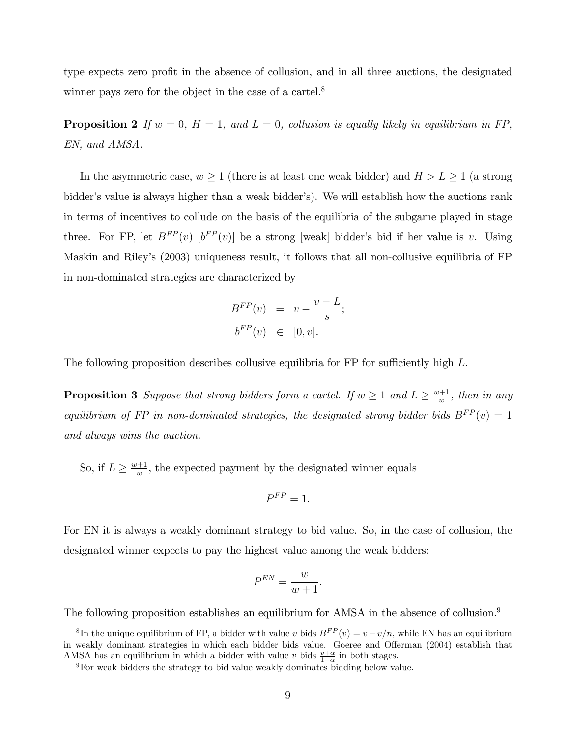type expects zero profit in the absence of collusion, and in all three auctions, the designated winner pays zero for the object in the case of a cartel.<sup>8</sup>

**Proposition 2** If  $w = 0$ ,  $H = 1$ , and  $L = 0$ , collusion is equally likely in equilibrium in FP, EN, and AMSA.

In the asymmetric case,  $w \ge 1$  (there is at least one weak bidder) and  $H > L \ge 1$  (a strong bidder's value is always higher than a weak bidder's). We will establish how the auctions rank in terms of incentives to collude on the basis of the equilibria of the subgame played in stage three. For FP, let  $B^{FP}(v)$  [ $b^{FP}(v)$ ] be a strong [weak] bidder's bid if her value is v. Using Maskin and Riley's (2003) uniqueness result, it follows that all non-collusive equilibria of FP in non-dominated strategies are characterized by

$$
B^{FP}(v) = v - \frac{v - L}{s};
$$
  

$$
b^{FP}(v) \in [0, v].
$$

The following proposition describes collusive equilibria for  $FP$  for sufficiently high L.

**Proposition 3** Suppose that strong bidders form a cartel. If  $w \ge 1$  and  $L \ge \frac{w+1}{w}$  $\frac{d+1}{w}$ , then in any equilibrium of FP in non-dominated strategies, the designated strong bidder bids  $B^{FP}(v) = 1$ and always wins the auction.

So, if  $L \geq \frac{w+1}{w}$  $\frac{+1}{w}$ , the expected payment by the designated winner equals

$$
P^{FP}=1.
$$

For EN it is always a weakly dominant strategy to bid value. So, in the case of collusion, the designated winner expects to pay the highest value among the weak bidders:

$$
P^{EN} = \frac{w}{w+1}.
$$

The following proposition establishes an equilibrium for AMSA in the absence of collusion.<sup>9</sup>

<sup>&</sup>lt;sup>8</sup>In the unique equilibrium of FP, a bidder with value v bids  $B^{FP}(v) = v - v/n$ , while EN has an equilibrium in weakly dominant strategies in which each bidder bids value. Goeree and Offerman (2004) establish that AMSA has an equilibrium in which a bidder with value v bids  $\frac{v+\alpha}{1+\alpha}$  in both stages.

<sup>&</sup>lt;sup>9</sup>For weak bidders the strategy to bid value weakly dominates bidding below value.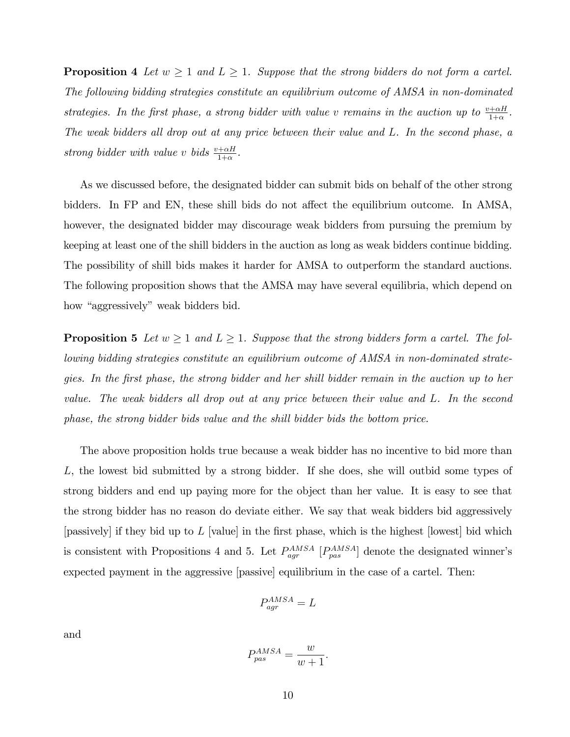**Proposition 4** Let  $w \ge 1$  and  $L \ge 1$ . Suppose that the strong bidders do not form a cartel. The following bidding strategies constitute an equilibrium outcome of AMSA in non-dominated strategies. In the first phase, a strong bidder with value v remains in the auction up to  $\frac{v+\alpha H}{1+\alpha}$ . The weak bidders all drop out at any price between their value and L. In the second phase, a strong bidder with value v bids  $\frac{v+\alpha H}{1+\alpha}$ .

As we discussed before, the designated bidder can submit bids on behalf of the other strong bidders. In FP and EN, these shill bids do not affect the equilibrium outcome. In AMSA, however, the designated bidder may discourage weak bidders from pursuing the premium by keeping at least one of the shill bidders in the auction as long as weak bidders continue bidding. The possibility of shill bids makes it harder for AMSA to outperform the standard auctions. The following proposition shows that the AMSA may have several equilibria, which depend on how "aggressively" weak bidders bid.

**Proposition 5** Let  $w \ge 1$  and  $L \ge 1$ . Suppose that the strong bidders form a cartel. The following bidding strategies constitute an equilibrium outcome of AMSA in non-dominated strategies. In the Örst phase, the strong bidder and her shill bidder remain in the auction up to her value. The weak bidders all drop out at any price between their value and L. In the second phase, the strong bidder bids value and the shill bidder bids the bottom price.

The above proposition holds true because a weak bidder has no incentive to bid more than L, the lowest bid submitted by a strong bidder. If she does, she will outbid some types of strong bidders and end up paying more for the object than her value. It is easy to see that the strong bidder has no reason do deviate either. We say that weak bidders bid aggressively [passively] if they bid up to  $L$  [value] in the first phase, which is the highest [lowest] bid which is consistent with Propositions 4 and 5. Let  $P_{agr}^{AMSA}$  [ $P_{pas}^{AMSA}$ ] denote the designated winner's expected payment in the aggressive [passive] equilibrium in the case of a cartel. Then:

$$
P_{agr}^{AMSA} = L
$$

and

$$
P_{pas}^{AMSA} = \frac{w}{w+1}.
$$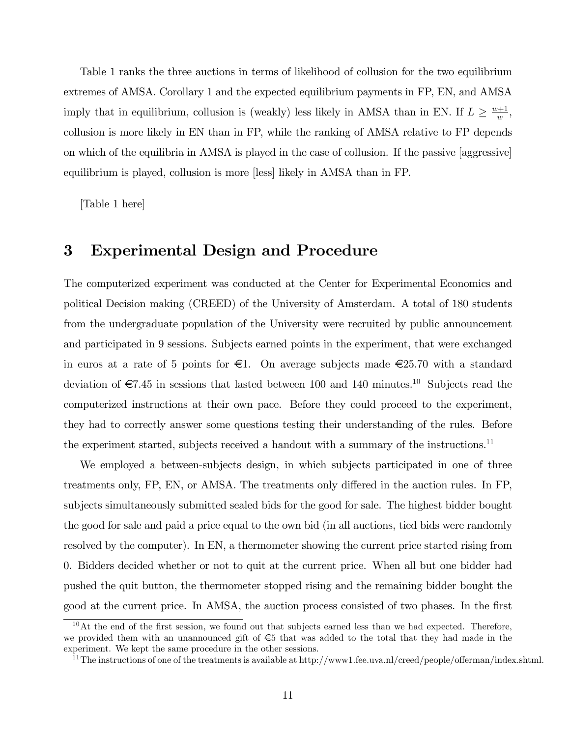Table 1 ranks the three auctions in terms of likelihood of collusion for the two equilibrium extremes of AMSA. Corollary 1 and the expected equilibrium payments in FP, EN, and AMSA imply that in equilibrium, collusion is (weakly) less likely in AMSA than in EN. If  $L \geq \frac{w+1}{w}$  $\frac{u+1}{w},$ collusion is more likely in EN than in FP, while the ranking of AMSA relative to FP depends on which of the equilibria in AMSA is played in the case of collusion. If the passive [aggressive] equilibrium is played, collusion is more [less] likely in AMSA than in FP.

[Table 1 here]

## 3 Experimental Design and Procedure

The computerized experiment was conducted at the Center for Experimental Economics and political Decision making (CREED) of the University of Amsterdam. A total of 180 students from the undergraduate population of the University were recruited by public announcement and participated in 9 sessions. Subjects earned points in the experiment, that were exchanged in euros at a rate of 5 points for  $\epsilon$ 1. On average subjects made  $\epsilon$ 25.70 with a standard deviation of  $\epsilon$ 7.45 in sessions that lasted between 100 and 140 minutes.<sup>10</sup> Subjects read the computerized instructions at their own pace. Before they could proceed to the experiment, they had to correctly answer some questions testing their understanding of the rules. Before the experiment started, subjects received a handout with a summary of the instructions.<sup>11</sup>

We employed a between-subjects design, in which subjects participated in one of three treatments only, FP, EN, or AMSA. The treatments only differed in the auction rules. In FP, subjects simultaneously submitted sealed bids for the good for sale. The highest bidder bought the good for sale and paid a price equal to the own bid (in all auctions, tied bids were randomly resolved by the computer). In EN, a thermometer showing the current price started rising from 0. Bidders decided whether or not to quit at the current price. When all but one bidder had pushed the quit button, the thermometer stopped rising and the remaining bidder bought the good at the current price. In AMSA, the auction process consisted of two phases. In the first

 $10$ At the end of the first session, we found out that subjects earned less than we had expected. Therefore, we provided them with an unannounced gift of  $\epsilon$ 5 that was added to the total that they had made in the experiment. We kept the same procedure in the other sessions.

<sup>&</sup>lt;sup>11</sup>The instructions of one of the treatments is available at http://www1.fee.uva.nl/creed/people/offerman/index.shtml.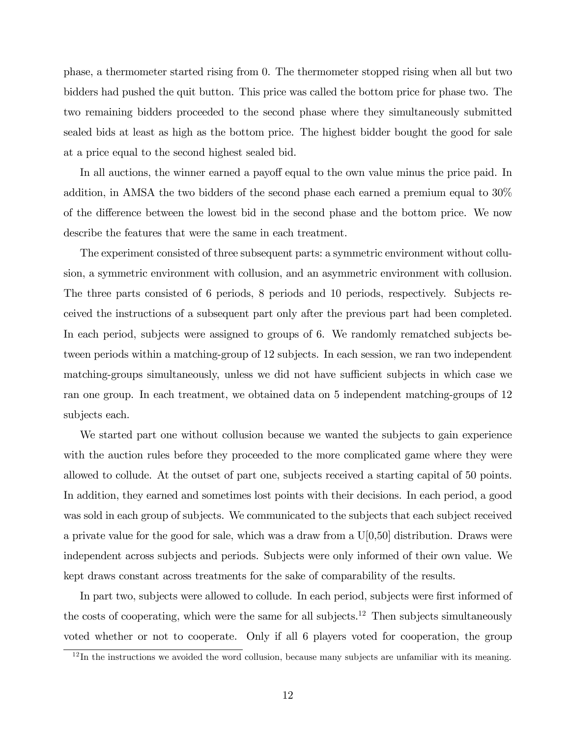phase, a thermometer started rising from 0. The thermometer stopped rising when all but two bidders had pushed the quit button. This price was called the bottom price for phase two. The two remaining bidders proceeded to the second phase where they simultaneously submitted sealed bids at least as high as the bottom price. The highest bidder bought the good for sale at a price equal to the second highest sealed bid.

In all auctions, the winner earned a payoff equal to the own value minus the price paid. In addition, in AMSA the two bidders of the second phase each earned a premium equal to 30% of the difference between the lowest bid in the second phase and the bottom price. We now describe the features that were the same in each treatment.

The experiment consisted of three subsequent parts: a symmetric environment without collusion, a symmetric environment with collusion, and an asymmetric environment with collusion. The three parts consisted of 6 periods, 8 periods and 10 periods, respectively. Subjects received the instructions of a subsequent part only after the previous part had been completed. In each period, subjects were assigned to groups of 6. We randomly rematched subjects between periods within a matching-group of 12 subjects. In each session, we ran two independent matching-groups simultaneously, unless we did not have sufficient subjects in which case we ran one group. In each treatment, we obtained data on 5 independent matching-groups of 12 subjects each.

We started part one without collusion because we wanted the subjects to gain experience with the auction rules before they proceeded to the more complicated game where they were allowed to collude. At the outset of part one, subjects received a starting capital of 50 points. In addition, they earned and sometimes lost points with their decisions. In each period, a good was sold in each group of subjects. We communicated to the subjects that each subject received a private value for the good for sale, which was a draw from a  $U[0,50]$  distribution. Draws were independent across subjects and periods. Subjects were only informed of their own value. We kept draws constant across treatments for the sake of comparability of the results.

In part two, subjects were allowed to collude. In each period, subjects were first informed of the costs of cooperating, which were the same for all subjects.<sup>12</sup> Then subjects simultaneously voted whether or not to cooperate. Only if all 6 players voted for cooperation, the group

<sup>&</sup>lt;sup>12</sup>In the instructions we avoided the word collusion, because many subjects are unfamiliar with its meaning.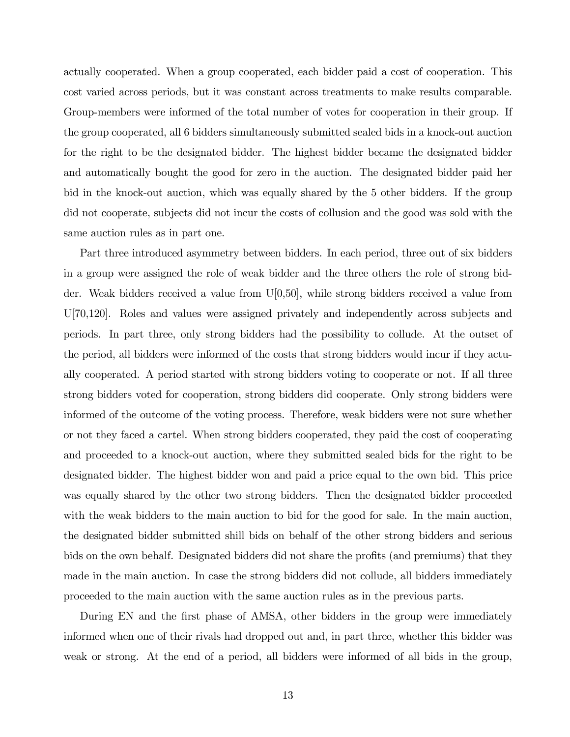actually cooperated. When a group cooperated, each bidder paid a cost of cooperation. This cost varied across periods, but it was constant across treatments to make results comparable. Group-members were informed of the total number of votes for cooperation in their group. If the group cooperated, all 6 bidders simultaneously submitted sealed bids in a knock-out auction for the right to be the designated bidder. The highest bidder became the designated bidder and automatically bought the good for zero in the auction. The designated bidder paid her bid in the knock-out auction, which was equally shared by the 5 other bidders. If the group did not cooperate, subjects did not incur the costs of collusion and the good was sold with the same auction rules as in part one.

Part three introduced asymmetry between bidders. In each period, three out of six bidders in a group were assigned the role of weak bidder and the three others the role of strong bidder. Weak bidders received a value from U[0,50], while strong bidders received a value from U[70,120]. Roles and values were assigned privately and independently across subjects and periods. In part three, only strong bidders had the possibility to collude. At the outset of the period, all bidders were informed of the costs that strong bidders would incur if they actually cooperated. A period started with strong bidders voting to cooperate or not. If all three strong bidders voted for cooperation, strong bidders did cooperate. Only strong bidders were informed of the outcome of the voting process. Therefore, weak bidders were not sure whether or not they faced a cartel. When strong bidders cooperated, they paid the cost of cooperating and proceeded to a knock-out auction, where they submitted sealed bids for the right to be designated bidder. The highest bidder won and paid a price equal to the own bid. This price was equally shared by the other two strong bidders. Then the designated bidder proceeded with the weak bidders to the main auction to bid for the good for sale. In the main auction, the designated bidder submitted shill bids on behalf of the other strong bidders and serious bids on the own behalf. Designated bidders did not share the profits (and premiums) that they made in the main auction. In case the strong bidders did not collude, all bidders immediately proceeded to the main auction with the same auction rules as in the previous parts.

During EN and the first phase of AMSA, other bidders in the group were immediately informed when one of their rivals had dropped out and, in part three, whether this bidder was weak or strong. At the end of a period, all bidders were informed of all bids in the group,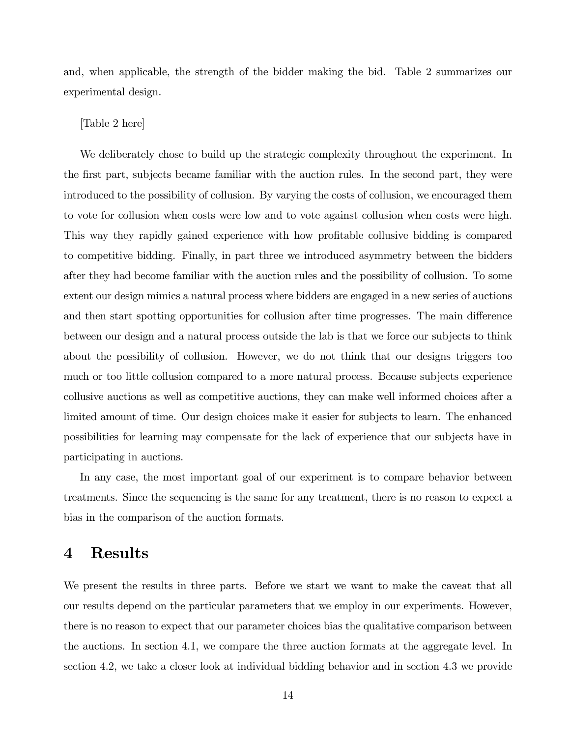and, when applicable, the strength of the bidder making the bid. Table 2 summarizes our experimental design.

### [Table 2 here]

We deliberately chose to build up the strategic complexity throughout the experiment. In the first part, subjects became familiar with the auction rules. In the second part, they were introduced to the possibility of collusion. By varying the costs of collusion, we encouraged them to vote for collusion when costs were low and to vote against collusion when costs were high. This way they rapidly gained experience with how profitable collusive bidding is compared to competitive bidding. Finally, in part three we introduced asymmetry between the bidders after they had become familiar with the auction rules and the possibility of collusion. To some extent our design mimics a natural process where bidders are engaged in a new series of auctions and then start spotting opportunities for collusion after time progresses. The main difference between our design and a natural process outside the lab is that we force our subjects to think about the possibility of collusion. However, we do not think that our designs triggers too much or too little collusion compared to a more natural process. Because subjects experience collusive auctions as well as competitive auctions, they can make well informed choices after a limited amount of time. Our design choices make it easier for subjects to learn. The enhanced possibilities for learning may compensate for the lack of experience that our subjects have in participating in auctions.

In any case, the most important goal of our experiment is to compare behavior between treatments. Since the sequencing is the same for any treatment, there is no reason to expect a bias in the comparison of the auction formats.

## 4 Results

We present the results in three parts. Before we start we want to make the caveat that all our results depend on the particular parameters that we employ in our experiments. However, there is no reason to expect that our parameter choices bias the qualitative comparison between the auctions. In section 4.1, we compare the three auction formats at the aggregate level. In section 4.2, we take a closer look at individual bidding behavior and in section 4.3 we provide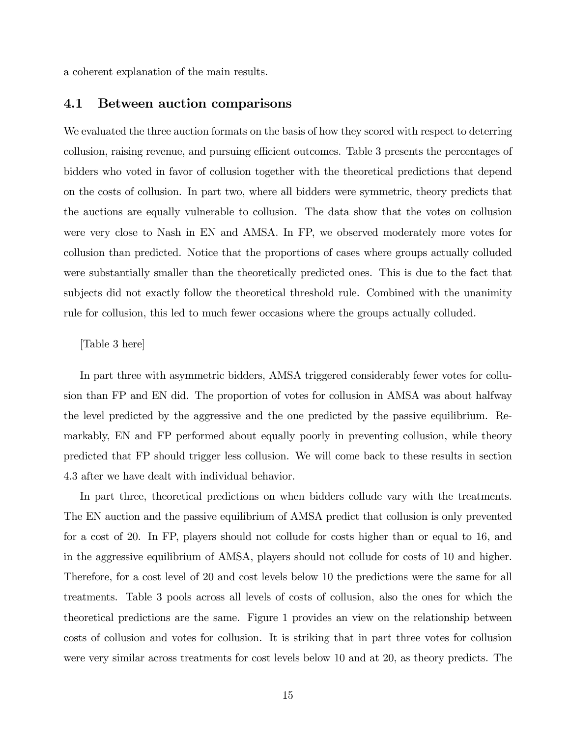a coherent explanation of the main results.

## 4.1 Between auction comparisons

We evaluated the three auction formats on the basis of how they scored with respect to deterring collusion, raising revenue, and pursuing efficient outcomes. Table 3 presents the percentages of bidders who voted in favor of collusion together with the theoretical predictions that depend on the costs of collusion. In part two, where all bidders were symmetric, theory predicts that the auctions are equally vulnerable to collusion. The data show that the votes on collusion were very close to Nash in EN and AMSA. In FP, we observed moderately more votes for collusion than predicted. Notice that the proportions of cases where groups actually colluded were substantially smaller than the theoretically predicted ones. This is due to the fact that subjects did not exactly follow the theoretical threshold rule. Combined with the unanimity rule for collusion, this led to much fewer occasions where the groups actually colluded.

[Table 3 here]

In part three with asymmetric bidders, AMSA triggered considerably fewer votes for collusion than FP and EN did. The proportion of votes for collusion in AMSA was about halfway the level predicted by the aggressive and the one predicted by the passive equilibrium. Remarkably, EN and FP performed about equally poorly in preventing collusion, while theory predicted that FP should trigger less collusion. We will come back to these results in section 4.3 after we have dealt with individual behavior.

In part three, theoretical predictions on when bidders collude vary with the treatments. The EN auction and the passive equilibrium of AMSA predict that collusion is only prevented for a cost of 20. In FP, players should not collude for costs higher than or equal to 16, and in the aggressive equilibrium of AMSA, players should not collude for costs of 10 and higher. Therefore, for a cost level of 20 and cost levels below 10 the predictions were the same for all treatments. Table 3 pools across all levels of costs of collusion, also the ones for which the theoretical predictions are the same. Figure 1 provides an view on the relationship between costs of collusion and votes for collusion. It is striking that in part three votes for collusion were very similar across treatments for cost levels below 10 and at 20, as theory predicts. The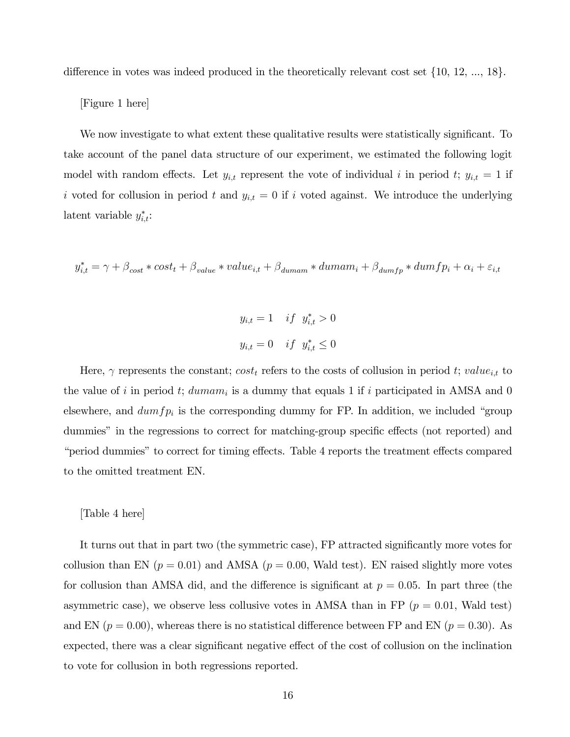difference in votes was indeed produced in the theoretically relevant cost set  $\{10, 12, ..., 18\}$ .

#### [Figure 1 here]

We now investigate to what extent these qualitative results were statistically significant. To take account of the panel data structure of our experiment, we estimated the following logit model with random effects. Let  $y_{i,t}$  represent the vote of individual i in period t;  $y_{i,t} = 1$  if i voted for collusion in period t and  $y_{i,t} = 0$  if i voted against. We introduce the underlying latent variable  $y_{i,t}^*$ :

$$
y_{i,t}^* = \gamma + \beta_{cost} * cost_t + \beta_{value} * value_{i,t} + \beta_{duman} * duman_i + \beta_{dump} * dumfp_i + \alpha_i + \varepsilon_{i,t}
$$

 $y_{i,t} = 1$  if  $y_{i,t}^* > 0$  $y_{i,t} = 0$  if  $y_{i,t}^* \leq 0$ 

Here,  $\gamma$  represents the constant; cost<sub>t</sub> refers to the costs of collusion in period t; value<sub>i,t</sub> to the value of i in period t;  $dumam_i$  is a dummy that equals 1 if i participated in AMSA and 0 elsewhere, and  $dumfp_i$  is the corresponding dummy for FP. In addition, we included "group dummies" in the regressions to correct for matching-group specific effects (not reported) and "period dummies" to correct for timing effects. Table 4 reports the treatment effects compared to the omitted treatment EN.

### [Table 4 here]

It turns out that in part two (the symmetric case), FP attracted significantly more votes for collusion than EN  $(p = 0.01)$  and AMSA  $(p = 0.00,$  Wald test). EN raised slightly more votes for collusion than AMSA did, and the difference is significant at  $p = 0.05$ . In part three (the asymmetric case), we observe less collusive votes in AMSA than in FP ( $p = 0.01$ , Wald test) and EN ( $p = 0.00$ ), whereas there is no statistical difference between FP and EN ( $p = 0.30$ ). As expected, there was a clear significant negative effect of the cost of collusion on the inclination to vote for collusion in both regressions reported.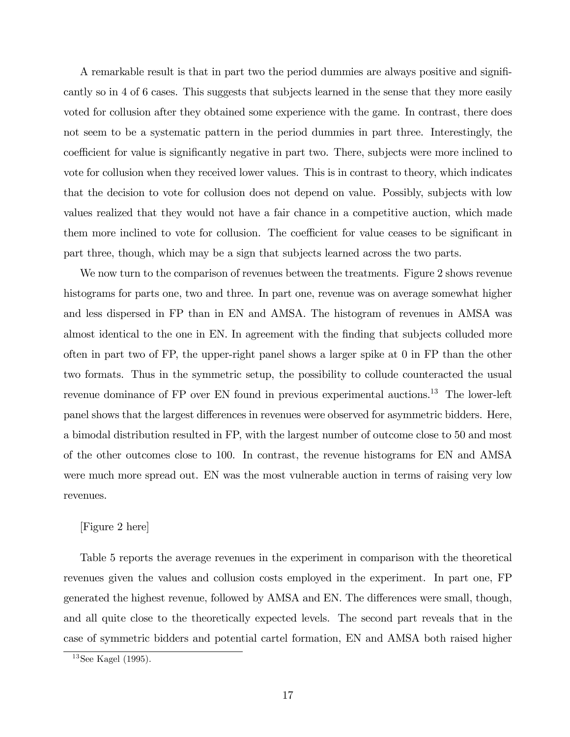A remarkable result is that in part two the period dummies are always positive and significantly so in 4 of 6 cases. This suggests that subjects learned in the sense that they more easily voted for collusion after they obtained some experience with the game. In contrast, there does not seem to be a systematic pattern in the period dummies in part three. Interestingly, the coefficient for value is significantly negative in part two. There, subjects were more inclined to vote for collusion when they received lower values. This is in contrast to theory, which indicates that the decision to vote for collusion does not depend on value. Possibly, subjects with low values realized that they would not have a fair chance in a competitive auction, which made them more inclined to vote for collusion. The coefficient for value ceases to be significant in part three, though, which may be a sign that subjects learned across the two parts.

We now turn to the comparison of revenues between the treatments. Figure 2 shows revenue histograms for parts one, two and three. In part one, revenue was on average somewhat higher and less dispersed in FP than in EN and AMSA. The histogram of revenues in AMSA was almost identical to the one in EN. In agreement with the Önding that subjects colluded more often in part two of FP, the upper-right panel shows a larger spike at 0 in FP than the other two formats. Thus in the symmetric setup, the possibility to collude counteracted the usual revenue dominance of FP over EN found in previous experimental auctions.<sup>13</sup> The lower-left panel shows that the largest differences in revenues were observed for asymmetric bidders. Here, a bimodal distribution resulted in FP, with the largest number of outcome close to 50 and most of the other outcomes close to 100. In contrast, the revenue histograms for EN and AMSA were much more spread out. EN was the most vulnerable auction in terms of raising very low revenues.

## [Figure 2 here]

Table 5 reports the average revenues in the experiment in comparison with the theoretical revenues given the values and collusion costs employed in the experiment. In part one, FP generated the highest revenue, followed by AMSA and EN. The differences were small, though, and all quite close to the theoretically expected levels. The second part reveals that in the case of symmetric bidders and potential cartel formation, EN and AMSA both raised higher

 $13$ See Kagel (1995).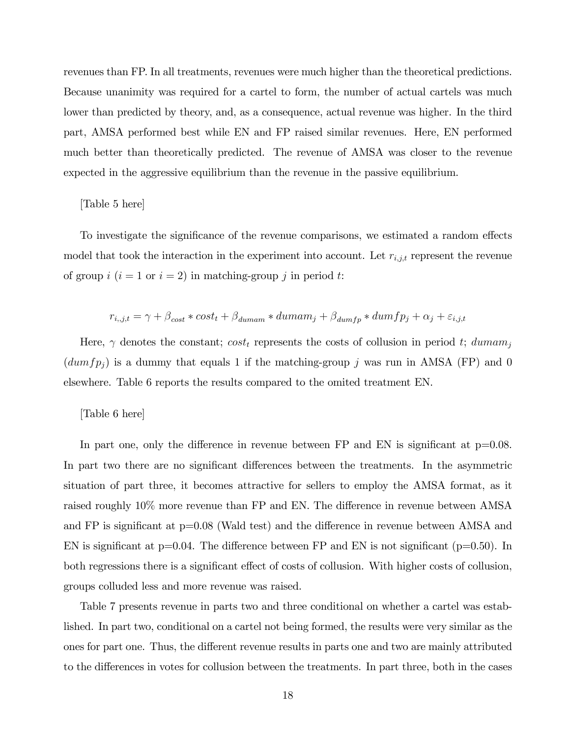revenues than FP. In all treatments, revenues were much higher than the theoretical predictions. Because unanimity was required for a cartel to form, the number of actual cartels was much lower than predicted by theory, and, as a consequence, actual revenue was higher. In the third part, AMSA performed best while EN and FP raised similar revenues. Here, EN performed much better than theoretically predicted. The revenue of AMSA was closer to the revenue expected in the aggressive equilibrium than the revenue in the passive equilibrium.

[Table 5 here]

To investigate the significance of the revenue comparisons, we estimated a random effects model that took the interaction in the experiment into account. Let  $r_{i,j,t}$  represent the revenue of group  $i$   $(i = 1 \text{ or } i = 2)$  in matching-group j in period t:

$$
r_{i,j,t} = \gamma + \beta_{cost} * cost_t + \beta_{dumann} * dumann_j + \beta_{dump} * dumfp_j + \alpha_j + \varepsilon_{i,j,t}
$$

Here,  $\gamma$  denotes the constant;  $cost_t$  represents the costs of collusion in period t;  $dumam_j$  $(dumfp<sub>j</sub>)$  is a dummy that equals 1 if the matching-group j was run in AMSA (FP) and 0 elsewhere. Table 6 reports the results compared to the omited treatment EN.

[Table 6 here]

In part one, only the difference in revenue between  $FP$  and  $EN$  is significant at  $p=0.08$ . In part two there are no significant differences between the treatments. In the asymmetric situation of part three, it becomes attractive for sellers to employ the AMSA format, as it raised roughly  $10\%$  more revenue than FP and EN. The difference in revenue between AMSA and  $FP$  is significant at  $p=0.08$  (Wald test) and the difference in revenue between AMSA and EN is significant at  $p=0.04$ . The difference between FP and EN is not significant ( $p=0.50$ ). In both regressions there is a significant effect of costs of collusion. With higher costs of collusion, groups colluded less and more revenue was raised.

Table 7 presents revenue in parts two and three conditional on whether a cartel was established. In part two, conditional on a cartel not being formed, the results were very similar as the ones for part one. Thus, the different revenue results in parts one and two are mainly attributed to the differences in votes for collusion between the treatments. In part three, both in the cases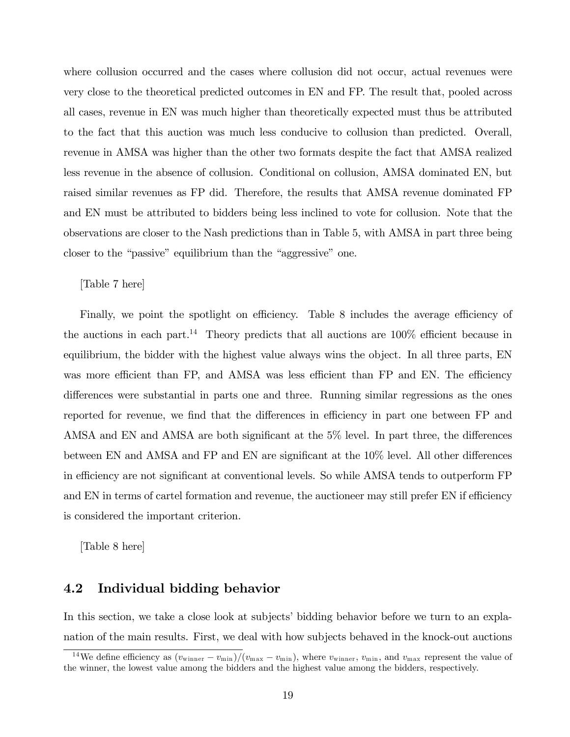where collusion occurred and the cases where collusion did not occur, actual revenues were very close to the theoretical predicted outcomes in EN and FP. The result that, pooled across all cases, revenue in EN was much higher than theoretically expected must thus be attributed to the fact that this auction was much less conducive to collusion than predicted. Overall, revenue in AMSA was higher than the other two formats despite the fact that AMSA realized less revenue in the absence of collusion. Conditional on collusion, AMSA dominated EN, but raised similar revenues as FP did. Therefore, the results that AMSA revenue dominated FP and EN must be attributed to bidders being less inclined to vote for collusion. Note that the observations are closer to the Nash predictions than in Table 5, with AMSA in part three being closer to the "passive" equilibrium than the "aggressive" one.

[Table 7 here]

Finally, we point the spotlight on efficiency. Table 8 includes the average efficiency of the auctions in each part.<sup>14</sup> Theory predicts that all auctions are  $100\%$  efficient because in equilibrium, the bidder with the highest value always wins the object. In all three parts, EN was more efficient than FP, and AMSA was less efficient than FP and EN. The efficiency differences were substantial in parts one and three. Running similar regressions as the ones reported for revenue, we find that the differences in efficiency in part one between FP and AMSA and EN and AMSA are both significant at the  $5\%$  level. In part three, the differences between EN and AMSA and FP and EN are significant at the  $10\%$  level. All other differences in efficiency are not significant at conventional levels. So while AMSA tends to outperform FP and EN in terms of cartel formation and revenue, the auctioneer may still prefer EN if efficiency is considered the important criterion.

[Table 8 here]

## 4.2 Individual bidding behavior

In this section, we take a close look at subjects' bidding behavior before we turn to an explanation of the main results. First, we deal with how subjects behaved in the knock-out auctions

<sup>&</sup>lt;sup>14</sup>We define efficiency as  $(v_{\text{winner}} - v_{\text{min}})/(v_{\text{max}} - v_{\text{min}})$ , where  $v_{\text{winner}}$ ,  $v_{\text{min}}$ , and  $v_{\text{max}}$  represent the value of the winner, the lowest value among the bidders and the highest value among the bidders, respectively.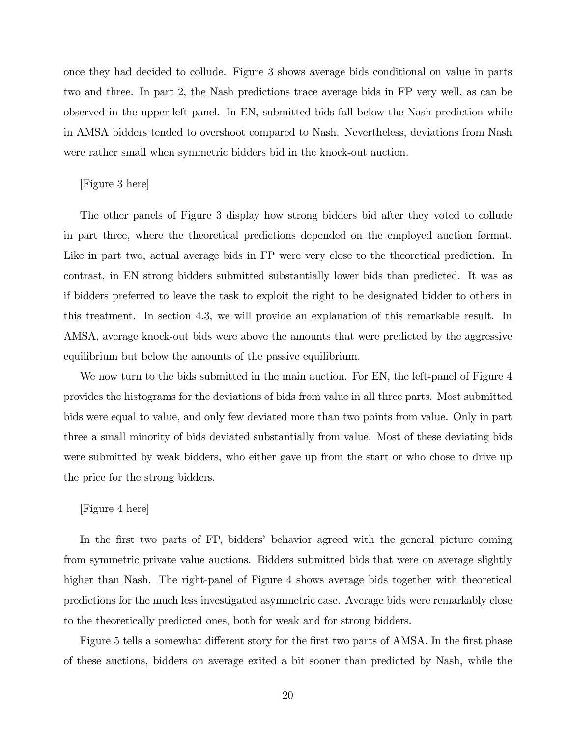once they had decided to collude. Figure 3 shows average bids conditional on value in parts two and three. In part 2, the Nash predictions trace average bids in FP very well, as can be observed in the upper-left panel. In EN, submitted bids fall below the Nash prediction while in AMSA bidders tended to overshoot compared to Nash. Nevertheless, deviations from Nash were rather small when symmetric bidders bid in the knock-out auction.

### [Figure 3 here]

The other panels of Figure 3 display how strong bidders bid after they voted to collude in part three, where the theoretical predictions depended on the employed auction format. Like in part two, actual average bids in FP were very close to the theoretical prediction. In contrast, in EN strong bidders submitted substantially lower bids than predicted. It was as if bidders preferred to leave the task to exploit the right to be designated bidder to others in this treatment. In section 4.3, we will provide an explanation of this remarkable result. In AMSA, average knock-out bids were above the amounts that were predicted by the aggressive equilibrium but below the amounts of the passive equilibrium.

We now turn to the bids submitted in the main auction. For EN, the left-panel of Figure 4 provides the histograms for the deviations of bids from value in all three parts. Most submitted bids were equal to value, and only few deviated more than two points from value. Only in part three a small minority of bids deviated substantially from value. Most of these deviating bids were submitted by weak bidders, who either gave up from the start or who chose to drive up the price for the strong bidders.

## [Figure 4 here]

In the first two parts of FP, bidders' behavior agreed with the general picture coming from symmetric private value auctions. Bidders submitted bids that were on average slightly higher than Nash. The right-panel of Figure 4 shows average bids together with theoretical predictions for the much less investigated asymmetric case. Average bids were remarkably close to the theoretically predicted ones, both for weak and for strong bidders.

Figure 5 tells a somewhat different story for the first two parts of AMSA. In the first phase of these auctions, bidders on average exited a bit sooner than predicted by Nash, while the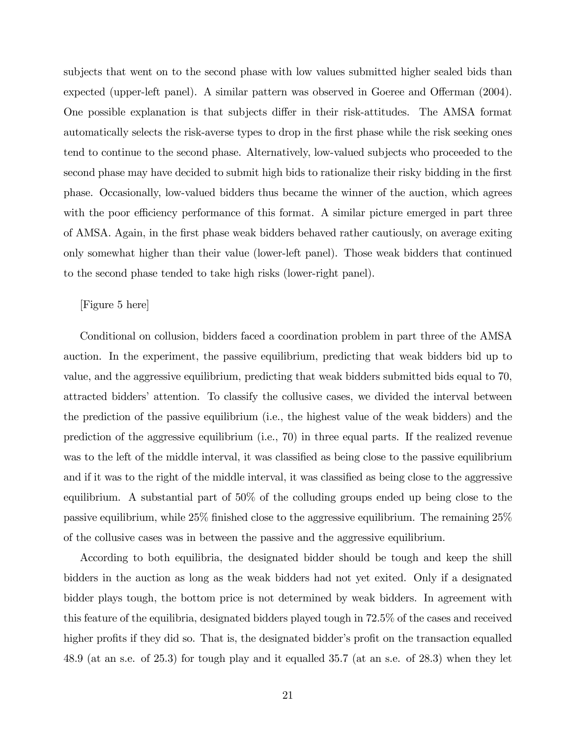subjects that went on to the second phase with low values submitted higher sealed bids than expected (upper-left panel). A similar pattern was observed in Goeree and Offerman (2004). One possible explanation is that subjects differ in their risk-attitudes. The AMSA format automatically selects the risk-averse types to drop in the first phase while the risk seeking ones tend to continue to the second phase. Alternatively, low-valued subjects who proceeded to the second phase may have decided to submit high bids to rationalize their risky bidding in the first phase. Occasionally, low-valued bidders thus became the winner of the auction, which agrees with the poor efficiency performance of this format. A similar picture emerged in part three of AMSA. Again, in the Örst phase weak bidders behaved rather cautiously, on average exiting only somewhat higher than their value (lower-left panel). Those weak bidders that continued to the second phase tended to take high risks (lower-right panel).

#### [Figure 5 here]

Conditional on collusion, bidders faced a coordination problem in part three of the AMSA auction. In the experiment, the passive equilibrium, predicting that weak bidders bid up to value, and the aggressive equilibrium, predicting that weak bidders submitted bids equal to 70, attracted biddersí attention. To classify the collusive cases, we divided the interval between the prediction of the passive equilibrium (i.e., the highest value of the weak bidders) and the prediction of the aggressive equilibrium (i.e., 70) in three equal parts. If the realized revenue was to the left of the middle interval, it was classified as being close to the passive equilibrium and if it was to the right of the middle interval, it was classified as being close to the aggressive equilibrium. A substantial part of 50% of the colluding groups ended up being close to the passive equilibrium, while  $25\%$  finished close to the aggressive equilibrium. The remaining  $25\%$ of the collusive cases was in between the passive and the aggressive equilibrium.

According to both equilibria, the designated bidder should be tough and keep the shill bidders in the auction as long as the weak bidders had not yet exited. Only if a designated bidder plays tough, the bottom price is not determined by weak bidders. In agreement with this feature of the equilibria, designated bidders played tough in 72.5% of the cases and received higher profits if they did so. That is, the designated bidder's profit on the transaction equalled 48.9 (at an s.e. of 25.3) for tough play and it equalled 35.7 (at an s.e. of 28.3) when they let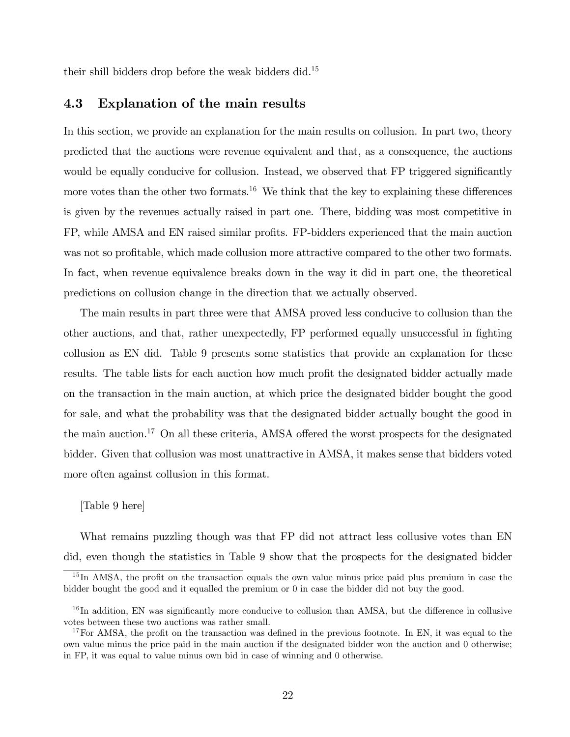their shill bidders drop before the weak bidders did.<sup>15</sup>

## 4.3 Explanation of the main results

In this section, we provide an explanation for the main results on collusion. In part two, theory predicted that the auctions were revenue equivalent and that, as a consequence, the auctions would be equally conducive for collusion. Instead, we observed that FP triggered significantly more votes than the other two formats.<sup>16</sup> We think that the key to explaining these differences is given by the revenues actually raised in part one. There, bidding was most competitive in FP, while AMSA and EN raised similar profits. FP-bidders experienced that the main auction was not so profitable, which made collusion more attractive compared to the other two formats. In fact, when revenue equivalence breaks down in the way it did in part one, the theoretical predictions on collusion change in the direction that we actually observed.

The main results in part three were that AMSA proved less conducive to collusion than the other auctions, and that, rather unexpectedly, FP performed equally unsuccessful in Öghting collusion as EN did. Table 9 presents some statistics that provide an explanation for these results. The table lists for each auction how much profit the designated bidder actually made on the transaction in the main auction, at which price the designated bidder bought the good for sale, and what the probability was that the designated bidder actually bought the good in the main auction.<sup>17</sup> On all these criteria, AMSA offered the worst prospects for the designated bidder. Given that collusion was most unattractive in AMSA, it makes sense that bidders voted more often against collusion in this format.

[Table 9 here]

What remains puzzling though was that FP did not attract less collusive votes than EN did, even though the statistics in Table 9 show that the prospects for the designated bidder

 $\frac{15}{15}$  In AMSA, the profit on the transaction equals the own value minus price paid plus premium in case the bidder bought the good and it equalled the premium or 0 in case the bidder did not buy the good.

 $16$  In addition, EN was significantly more conducive to collusion than AMSA, but the difference in collusive votes between these two auctions was rather small.

<sup>&</sup>lt;sup>17</sup>For AMSA, the profit on the transaction was defined in the previous footnote. In EN, it was equal to the own value minus the price paid in the main auction if the designated bidder won the auction and 0 otherwise; in FP, it was equal to value minus own bid in case of winning and 0 otherwise.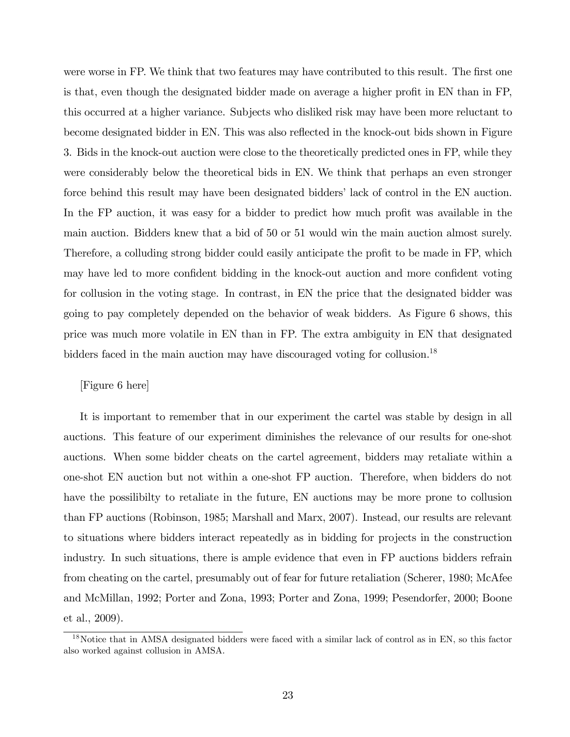were worse in FP. We think that two features may have contributed to this result. The first one is that, even though the designated bidder made on average a higher profit in EN than in FP, this occurred at a higher variance. Subjects who disliked risk may have been more reluctant to become designated bidder in EN. This was also reflected in the knock-out bids shown in Figure 3. Bids in the knock-out auction were close to the theoretically predicted ones in FP, while they were considerably below the theoretical bids in EN. We think that perhaps an even stronger force behind this result may have been designated bidders' lack of control in the EN auction. In the FP auction, it was easy for a bidder to predict how much profit was available in the main auction. Bidders knew that a bid of 50 or 51 would win the main auction almost surely. Therefore, a colluding strong bidder could easily anticipate the profit to be made in FP, which may have led to more confident bidding in the knock-out auction and more confident voting for collusion in the voting stage. In contrast, in EN the price that the designated bidder was going to pay completely depended on the behavior of weak bidders. As Figure 6 shows, this price was much more volatile in EN than in FP. The extra ambiguity in EN that designated bidders faced in the main auction may have discouraged voting for collusion.<sup>18</sup>

### [Figure 6 here]

It is important to remember that in our experiment the cartel was stable by design in all auctions. This feature of our experiment diminishes the relevance of our results for one-shot auctions. When some bidder cheats on the cartel agreement, bidders may retaliate within a one-shot EN auction but not within a one-shot FP auction. Therefore, when bidders do not have the possilibilty to retaliate in the future, EN auctions may be more prone to collusion than FP auctions (Robinson, 1985; Marshall and Marx, 2007). Instead, our results are relevant to situations where bidders interact repeatedly as in bidding for projects in the construction industry. In such situations, there is ample evidence that even in FP auctions bidders refrain from cheating on the cartel, presumably out of fear for future retaliation (Scherer, 1980; McAfee and McMillan, 1992; Porter and Zona, 1993; Porter and Zona, 1999; Pesendorfer, 2000; Boone et al., 2009).

<sup>&</sup>lt;sup>18</sup>Notice that in AMSA designated bidders were faced with a similar lack of control as in EN, so this factor also worked against collusion in AMSA.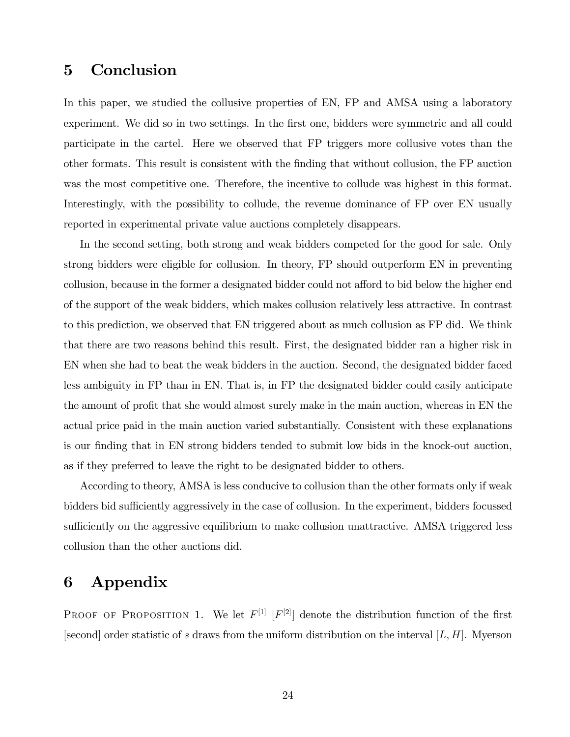## 5 Conclusion

In this paper, we studied the collusive properties of EN, FP and AMSA using a laboratory experiment. We did so in two settings. In the first one, bidders were symmetric and all could participate in the cartel. Here we observed that FP triggers more collusive votes than the other formats. This result is consistent with the Önding that without collusion, the FP auction was the most competitive one. Therefore, the incentive to collude was highest in this format. Interestingly, with the possibility to collude, the revenue dominance of FP over EN usually reported in experimental private value auctions completely disappears.

In the second setting, both strong and weak bidders competed for the good for sale. Only strong bidders were eligible for collusion. In theory, FP should outperform EN in preventing collusion, because in the former a designated bidder could not afford to bid below the higher end of the support of the weak bidders, which makes collusion relatively less attractive. In contrast to this prediction, we observed that EN triggered about as much collusion as FP did. We think that there are two reasons behind this result. First, the designated bidder ran a higher risk in EN when she had to beat the weak bidders in the auction. Second, the designated bidder faced less ambiguity in FP than in EN. That is, in FP the designated bidder could easily anticipate the amount of profit that she would almost surely make in the main auction, whereas in EN the actual price paid in the main auction varied substantially. Consistent with these explanations is our finding that in EN strong bidders tended to submit low bids in the knock-out auction, as if they preferred to leave the right to be designated bidder to others.

According to theory, AMSA is less conducive to collusion than the other formats only if weak bidders bid sufficiently aggressively in the case of collusion. In the experiment, bidders focussed sufficiently on the aggressive equilibrium to make collusion unattractive. AMSA triggered less collusion than the other auctions did.

## 6 Appendix

PROOF OF PROPOSITION 1. We let  $F^{[1]}$   $[F^{[2]}]$  denote the distribution function of the first [second] order statistic of s draws from the uniform distribution on the interval  $[L, H]$ . Myerson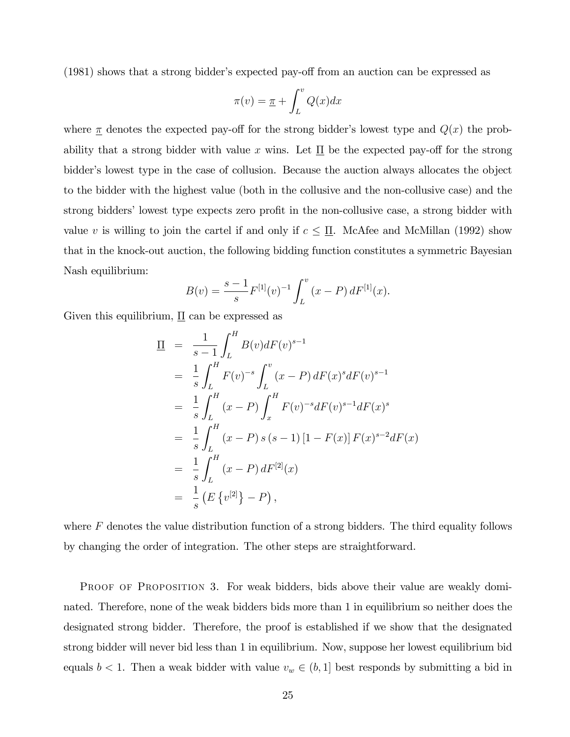$(1981)$  shows that a strong bidder's expected pay-off from an auction can be expressed as

$$
\pi(v) = \underline{\pi} + \int_{L}^{v} Q(x) dx
$$

where  $\underline{\tau}$  denotes the expected pay-off for the strong bidder's lowest type and  $Q(x)$  the probability that a strong bidder with value x wins. Let  $\Pi$  be the expected pay-off for the strong bidder's lowest type in the case of collusion. Because the auction always allocates the object to the bidder with the highest value (both in the collusive and the non-collusive case) and the strong bidders' lowest type expects zero profit in the non-collusive case, a strong bidder with value v is willing to join the cartel if and only if  $c \leq \underline{\Pi}$ . McAfee and McMillan (1992) show that in the knock-out auction, the following bidding function constitutes a symmetric Bayesian Nash equilibrium:

$$
B(v) = \frac{s-1}{s} F^{[1]}(v)^{-1} \int_{L}^{v} (x - P) dF^{[1]}(x).
$$

Given this equilibrium,  $\Pi$  can be expressed as

$$
\begin{split}\n\mathbf{I} &= \frac{1}{s-1} \int_{L}^{H} B(v) dF(v)^{s-1} \\
&= \frac{1}{s} \int_{L}^{H} F(v)^{-s} \int_{L}^{v} (x-P) dF(x)^{s} dF(v)^{s-1} \\
&= \frac{1}{s} \int_{L}^{H} (x-P) \int_{x}^{H} F(v)^{-s} dF(v)^{s-1} dF(x)^{s} \\
&= \frac{1}{s} \int_{L}^{H} (x-P) s (s-1) [1 - F(x)] F(x)^{s-2} dF(x) \\
&= \frac{1}{s} \int_{L}^{H} (x-P) dF^{[2]}(x) \\
&= \frac{1}{s} (E \{v^{[2]}\} - P),\n\end{split}
$$

where  $F$  denotes the value distribution function of a strong bidders. The third equality follows by changing the order of integration. The other steps are straightforward.

PROOF OF PROPOSITION 3. For weak bidders, bids above their value are weakly dominated. Therefore, none of the weak bidders bids more than 1 in equilibrium so neither does the designated strong bidder. Therefore, the proof is established if we show that the designated strong bidder will never bid less than 1 in equilibrium. Now, suppose her lowest equilibrium bid equals  $b < 1$ . Then a weak bidder with value  $v_w \in (b, 1]$  best responds by submitting a bid in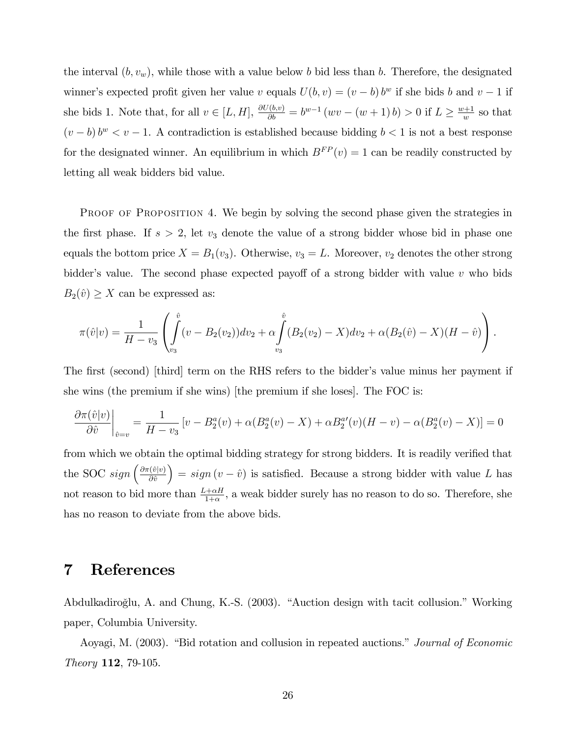the interval  $(b, v_w)$ , while those with a value below b bid less than b. Therefore, the designated winner's expected profit given her value v equals  $U(b, v) = (v - b) b^w$  if she bids b and  $v - 1$  if she bids 1. Note that, for all  $v \in [L, H]$ ,  $\frac{\partial U(b, v)}{\partial b} = b^{w-1} (wv - (w+1)b) > 0$  if  $L \ge \frac{w+1}{w}$  $\frac{y+1}{w}$  so that  $(v - b) b<sup>w</sup> < v - 1$ . A contradiction is established because bidding  $b < 1$  is not a best response for the designated winner. An equilibrium in which  $B^{FP}(v) = 1$  can be readily constructed by letting all weak bidders bid value.

PROOF OF PROPOSITION 4. We begin by solving the second phase given the strategies in the first phase. If  $s > 2$ , let  $v_3$  denote the value of a strong bidder whose bid in phase one equals the bottom price  $X = B_1(v_3)$ . Otherwise,  $v_3 = L$ . Moreover,  $v_2$  denotes the other strong bidder's value. The second phase expected payoff of a strong bidder with value  $v$  who bids  $B_2(\hat{v}) \geq X$  can be expressed as:

$$
\pi(\hat{v}|v) = \frac{1}{H - v_3} \left( \int_{v_3}^{\hat{v}} (v - B_2(v_2)) dv_2 + \alpha \int_{v_3}^{\hat{v}} (B_2(v_2) - X) dv_2 + \alpha (B_2(\hat{v}) - X)(H - \hat{v}) \right).
$$

The first (second) [third] term on the RHS refers to the bidder's value minus her payment if she wins (the premium if she wins) [the premium if she loses]. The FOC is:

$$
\frac{\partial \pi(\hat{v}|v)}{\partial \hat{v}}\bigg|_{\hat{v}=v} = \frac{1}{H-v_3} \left[ v - B_2^a(v) + \alpha (B_2^a(v) - X) + \alpha B_2^{a}(v) (H-v) - \alpha (B_2^a(v) - X) \right] = 0
$$

from which we obtain the optimal bidding strategy for strong bidders. It is readily verified that the SOC  $sign\left(\frac{\partial \pi(\hat{v}|v)}{\partial \hat{v}}\right)$  $= sign (v - \hat{v})$  is satisfied. Because a strong bidder with value L has not reason to bid more than  $\frac{L+\alpha H}{1+\alpha}$ , a weak bidder surely has no reason to do so. Therefore, she has no reason to deviate from the above bids.

## 7 References

Abdulkadiroğlu, A. and Chung, K.-S. (2003). "Auction design with tacit collusion." Working paper, Columbia University.

Aoyagi, M. (2003). "Bid rotation and collusion in repeated auctions." Journal of Economic Theory 112, 79-105.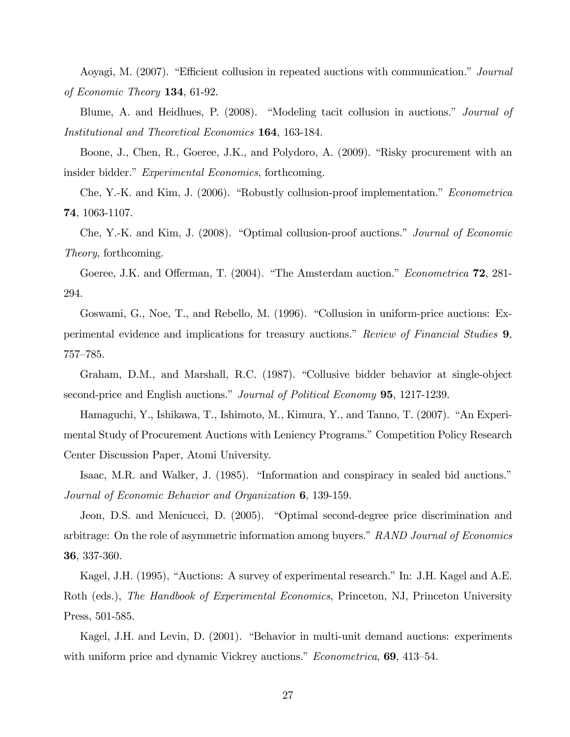Aoyagi, M. (2007). "Efficient collusion in repeated auctions with communication." Journal of Economic Theory 134, 61-92.

Blume, A. and Heidhues, P. (2008). "Modeling tacit collusion in auctions." *Journal of* Institutional and Theoretical Economics 164, 163-184.

Boone, J., Chen, R., Goeree, J.K., and Polydoro, A. (2009). "Risky procurement with an insider bidder." Experimental Economics, forthcoming.

Che, Y.-K. and Kim, J. (2006). "Robustly collusion-proof implementation." Econometrica 74, 1063-1107.

Che, Y.-K. and Kim, J. (2008). "Optimal collusion-proof auctions." Journal of Economic Theory, forthcoming.

Goeree, J.K. and Offerman, T.  $(2004)$ . "The Amsterdam auction." *Econometrica* **72**, 281-294.

Goswami, G., Noe, T., and Rebello, M. (1996). "Collusion in uniform-price auctions: Experimental evidence and implications for treasury auctions.î Review of Financial Studies 9, 757-785.

Graham, D.M., and Marshall, R.C. (1987). "Collusive bidder behavior at single-object second-price and English auctions." Journal of Political Economy 95, 1217-1239.

Hamaguchi, Y., Ishikawa, T., Ishimoto, M., Kimura, Y., and Tanno, T. (2007). "An Experimental Study of Procurement Auctions with Leniency Programs." Competition Policy Research Center Discussion Paper, Atomi University.

Isaac, M.R. and Walker, J. (1985). "Information and conspiracy in sealed bid auctions." Journal of Economic Behavior and Organization 6, 139-159.

Jeon, D.S. and Menicucci, D. (2005). "Optimal second-degree price discrimination and arbitrage: On the role of asymmetric information among buyers." RAND Journal of Economics 36, 337-360.

Kagel, J.H. (1995), "Auctions: A survey of experimental research." In: J.H. Kagel and A.E. Roth (eds.), *The Handbook of Experimental Economics*, Princeton, NJ, Princeton University Press, 501-585.

Kagel, J.H. and Levin, D. (2001). "Behavior in multi-unit demand auctions: experiments with uniform price and dynamic Vickrey auctions."  $Econometrica$ , **69**, 413–54.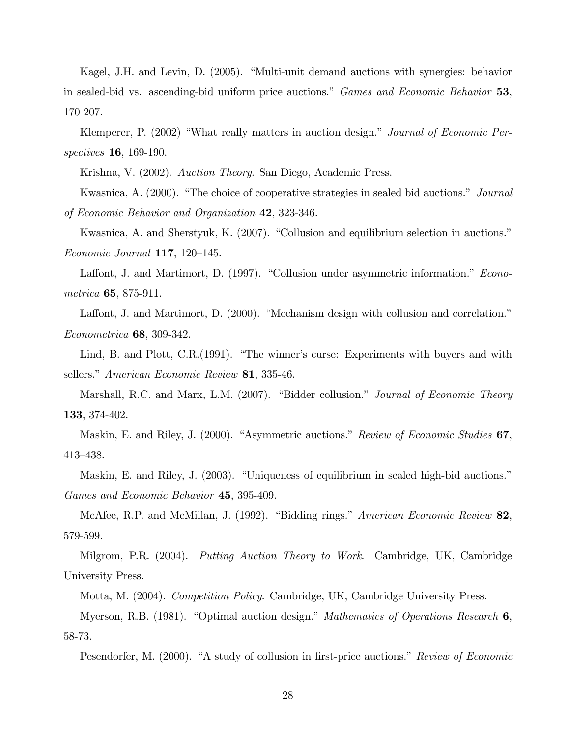Kagel, J.H. and Levin, D. (2005). "Multi-unit demand auctions with synergies: behavior in sealed-bid vs. ascending-bid uniform price auctions." Games and Economic Behavior 53, 170-207.

Klemperer, P. (2002) "What really matters in auction design." Journal of Economic Perspectives **16**, 169-190.

Krishna, V. (2002). Auction Theory. San Diego, Academic Press.

Kwasnica, A. (2000). "The choice of cooperative strategies in sealed bid auctions." Journal of Economic Behavior and Organization 42, 323-346.

Kwasnica, A. and Sherstyuk, K. (2007). "Collusion and equilibrium selection in auctions." *Economic Journal* 117, 120–145.

Laffont, J. and Martimort, D. (1997). "Collusion under asymmetric information." *Econo*metrica **65**, 875-911.

Laffont, J. and Martimort, D. (2000). "Mechanism design with collusion and correlation." Econometrica 68, 309-342.

Lind, B. and Plott, C.R. $(1991)$ . "The winner's curse: Experiments with buyers and with sellers." American Economic Review 81, 335-46.

Marshall, R.C. and Marx, L.M. (2007). "Bidder collusion." *Journal of Economic Theory* 133, 374-402.

Maskin, E. and Riley, J. (2000). "Asymmetric auctions." Review of Economic Studies 67, 413-438.

Maskin, E. and Riley, J. (2003). "Uniqueness of equilibrium in sealed high-bid auctions." Games and Economic Behavior 45, 395-409.

McAfee, R.P. and McMillan, J. (1992). "Bidding rings." American Economic Review 82, 579-599.

Milgrom, P.R. (2004). Putting Auction Theory to Work. Cambridge, UK, Cambridge University Press.

Motta, M. (2004). Competition Policy. Cambridge, UK, Cambridge University Press.

Myerson, R.B. (1981). "Optimal auction design." *Mathematics of Operations Research* 6, 58-73.

Pesendorfer, M. (2000). "A study of collusion in first-price auctions." Review of Economic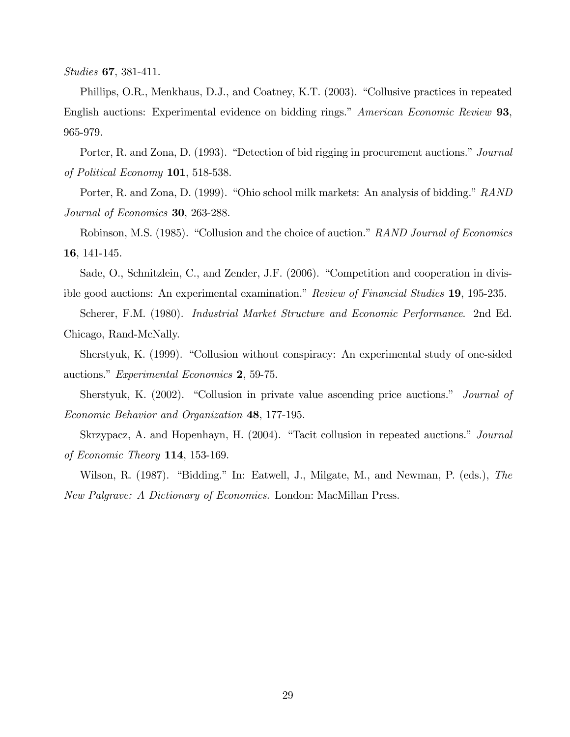Studies 67, 381-411.

Phillips, O.R., Menkhaus, D.J., and Coatney, K.T. (2003). "Collusive practices in repeated English auctions: Experimental evidence on bidding rings." American Economic Review 93, 965-979.

Porter, R. and Zona, D. (1993). "Detection of bid rigging in procurement auctions." Journal of Political Economy 101, 518-538.

Porter, R. and Zona, D. (1999). "Ohio school milk markets: An analysis of bidding." RAND Journal of Economics **30**, 263-288.

Robinson, M.S. (1985). "Collusion and the choice of auction." RAND Journal of Economics 16, 141-145.

Sade, O., Schnitzlein, C., and Zender, J.F. (2006). "Competition and cooperation in divisible good auctions: An experimental examination."  $Review \ of \ Financial \ Studies$  19, 195-235.

Scherer, F.M. (1980). Industrial Market Structure and Economic Performance. 2nd Ed. Chicago, Rand-McNally.

Sherstyuk, K. (1999). "Collusion without conspiracy: An experimental study of one-sided auctions." Experimental Economics 2, 59-75.

Sherstyuk, K.  $(2002)$ . "Collusion in private value ascending price auctions." *Journal of* Economic Behavior and Organization 48, 177-195.

Skrzypacz, A. and Hopenhayn, H.  $(2004)$ . "Tacit collusion in repeated auctions." Journal of Economic Theory 114, 153-169.

Wilson, R. (1987). "Bidding." In: Eatwell, J., Milgate, M., and Newman, P. (eds.), The New Palgrave: A Dictionary of Economics. London: MacMillan Press.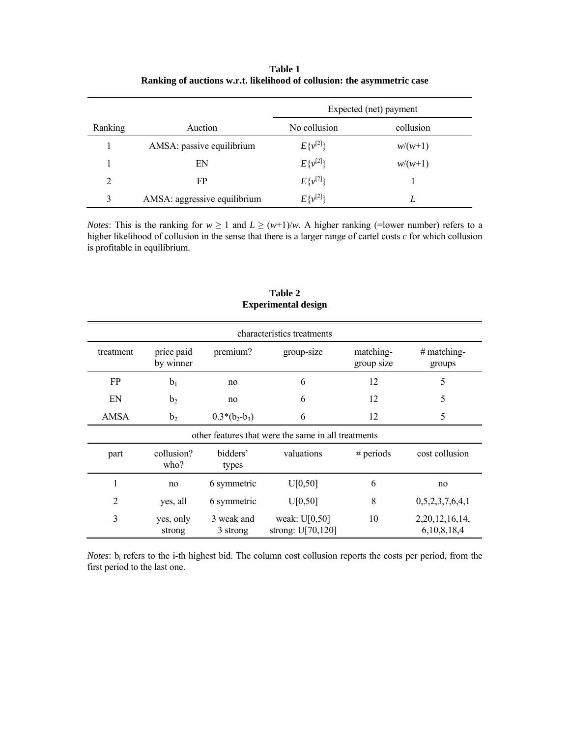|         |                              | Expected (net) payment |           |
|---------|------------------------------|------------------------|-----------|
| Ranking | Auction                      | No collusion           | collusion |
|         | AMSA: passive equilibrium    | $E\{v^{[2]}\}\$        | $w/(w+1)$ |
|         | EN                           | $E\{v^{[2]}\}\$        | $w/(w+1)$ |
| 2       | FP.                          | $E\{v^{[2]}\}\$        |           |
| 3       | AMSA: aggressive equilibrium | $E\{v^{[2]}\}$         |           |

**Table 1 Ranking of auctions w.r.t. likelihood of collusion: the asymmetric case**

*Notes*: This is the ranking for  $w \ge 1$  and  $L \ge (w+1)/w$ . A higher ranking (=lower number) refers to a higher likelihood of collusion in the sense that there is a larger range of cartel costs *c* for which collusion is profitable in equilibrium.

| characteristics treatments                          |                         |                        |                                      |                         |                               |
|-----------------------------------------------------|-------------------------|------------------------|--------------------------------------|-------------------------|-------------------------------|
| treatment                                           | price paid<br>by winner | premium?               | group-size                           | matching-<br>group size | $#$ matching-<br>groups       |
| <b>FP</b>                                           | b <sub>1</sub>          | no                     | 6                                    | 12                      | 5                             |
| EN                                                  | b <sub>2</sub>          | no                     | 6                                    | 12                      | 5                             |
| AMSA                                                | b <sub>2</sub>          | $0.3*(b_2-b_3)$        | 6                                    | 12                      | 5                             |
| other features that were the same in all treatments |                         |                        |                                      |                         |                               |
| part                                                | collusion?<br>who?      | bidders'<br>types      | valuations                           | # periods               | cost collusion                |
| 1                                                   | no                      | 6 symmetric            | U[0, 50]                             | 6                       | no                            |
| $\overline{2}$                                      | yes, all                | 6 symmetric            | U[0, 50]                             | 8                       | 0,5,2,3,7,6,4,1               |
| 3                                                   | yes, only<br>strong     | 3 weak and<br>3 strong | weak: $U[0,50]$<br>strong: U[70,120] | 10                      | 2,20,12,16,14,<br>6,10,8,18,4 |

**Table 2 Experimental design**

*Notes*:  $b_i$  refers to the i-th highest bid. The column cost collusion reports the costs per period, from the first period to the last one.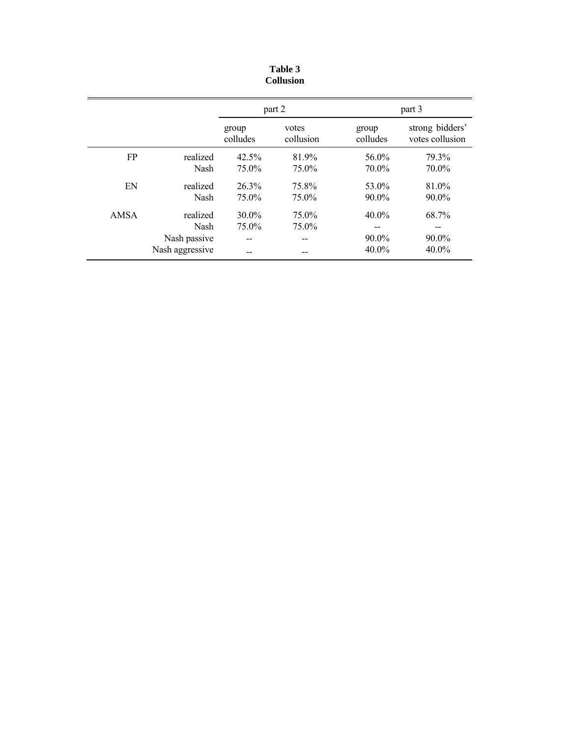|             |                 |                   | part 2             |                   | part 3                             |  |
|-------------|-----------------|-------------------|--------------------|-------------------|------------------------------------|--|
|             |                 | group<br>colludes | votes<br>collusion | group<br>colludes | strong bidders'<br>votes collusion |  |
| FP          | realized        | 42.5%             | 81.9%              | 56.0%             | 79.3%                              |  |
|             | <b>Nash</b>     | 75.0%             | 75.0%              | 70.0%             | 70.0%                              |  |
| EN          | realized        | 26.3%             | 75.8%              | 53.0%             | 81.0%                              |  |
|             | <b>Nash</b>     | 75.0%             | $75.0\%$           | $90.0\%$          | $90.0\%$                           |  |
| <b>AMSA</b> | realized        | $30.0\%$          | 75.0%              | 40.0%             | 68.7%                              |  |
|             | <b>Nash</b>     | $75.0\%$          | 75.0%              | --                | --                                 |  |
|             | Nash passive    |                   |                    | 90.0%             | 90.0%                              |  |
|             | Nash aggressive |                   |                    | 40.0%             | 40.0%                              |  |

**Table 3 Collusion**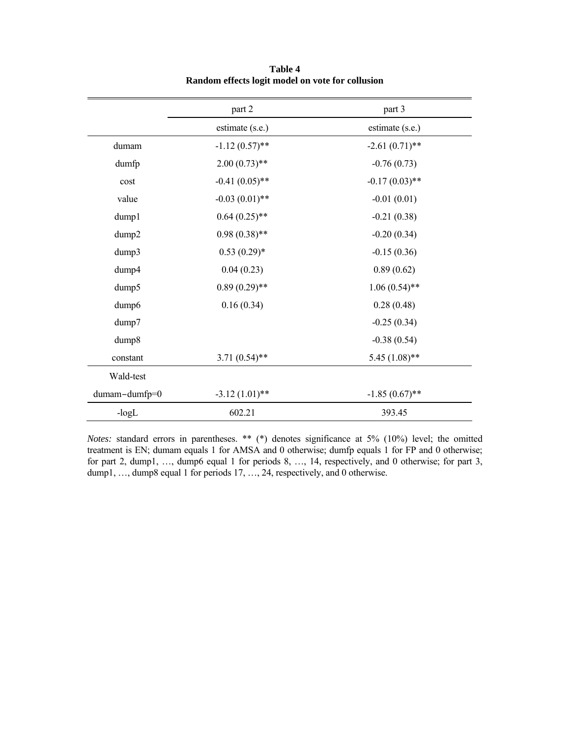|               | part 2           | part 3           |
|---------------|------------------|------------------|
|               | estimate (s.e.)  | estimate (s.e.)  |
| dumam         | $-1.12(0.57)$ ** | $-2.61(0.71)$ ** |
| dumfp         | $2.00(0.73)$ **  | $-0.76(0.73)$    |
| cost          | $-0.41(0.05)$ ** | $-0.17(0.03)$ ** |
| value         | $-0.03(0.01)$ ** | $-0.01(0.01)$    |
| dump1         | $0.64(0.25)$ **  | $-0.21(0.38)$    |
| dump2         | $0.98(0.38)$ **  | $-0.20(0.34)$    |
| dump3         | $0.53(0.29)$ *   | $-0.15(0.36)$    |
| dump4         | 0.04(0.23)       | 0.89(0.62)       |
| dump5         | $0.89(0.29)$ **  | $1.06(0.54)$ **  |
| dump6         | 0.16(0.34)       | 0.28(0.48)       |
| dump7         |                  | $-0.25(0.34)$    |
| dump8         |                  | $-0.38(0.54)$    |
| constant      | $3.71(0.54)$ **  | 5.45 $(1.08)$ ** |
| Wald-test     |                  |                  |
| dumam-dumfp=0 | $-3.12(1.01)$ ** | $-1.85(0.67)$ ** |
| $-logL$       | 602.21           | 393.45           |

**Table 4 Random effects logit model on vote for collusion**

*Notes:* standard errors in parentheses. \*\* (\*) denotes significance at 5% (10%) level; the omitted treatment is EN; dumam equals 1 for AMSA and 0 otherwise; dumfp equals 1 for FP and 0 otherwise; for part 2, dump1, …, dump6 equal 1 for periods 8, …, 14, respectively, and 0 otherwise; for part 3, dump1, …, dump8 equal 1 for periods 17, …, 24, respectively, and 0 otherwise.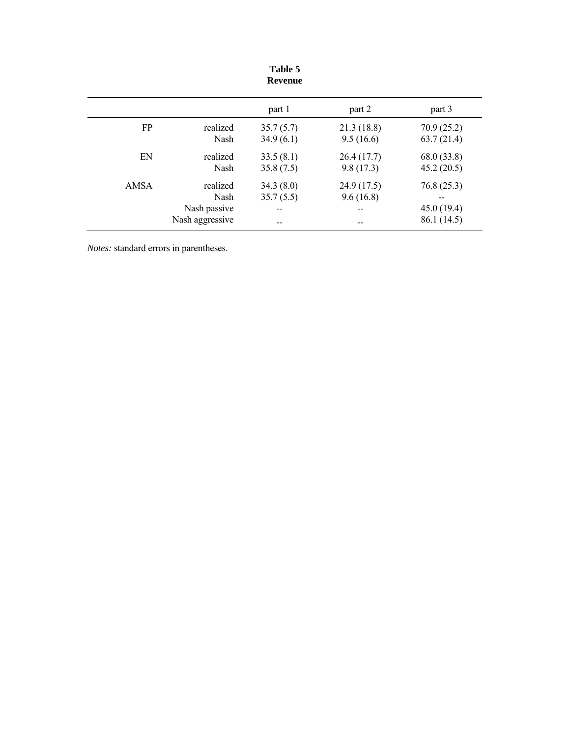|           |                 | www.nu    |            |             |
|-----------|-----------------|-----------|------------|-------------|
|           |                 | part 1    | part 2     | part 3      |
| <b>FP</b> | realized        | 35.7(5.7) | 21.3(18.8) | 70.9(25.2)  |
|           | Nash            | 34.9(6.1) | 9.5(16.6)  | 63.7(21.4)  |
| EN        | realized        | 33.5(8.1) | 26.4(17.7) | 68.0 (33.8) |
|           | Nash            | 35.8(7.5) | 9.8(17.3)  | 45.2(20.5)  |
| AMSA      | realized        | 34.3(8.0) | 24.9(17.5) | 76.8(25.3)  |
|           | Nash            | 35.7(5.5) | 9.6(16.8)  |             |
|           | Nash passive    |           |            | 45.0(19.4)  |
|           | Nash aggressive | --        |            | 86.1 (14.5) |

**Table 5 Revenue**

*Notes:* standard errors in parentheses.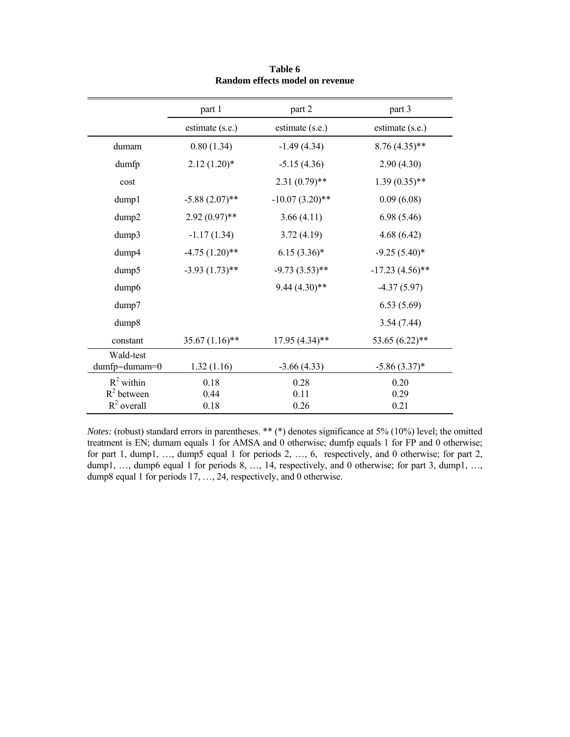|               | part 1           | part 2            | part 3            |
|---------------|------------------|-------------------|-------------------|
|               | estimate (s.e.)  | estimate (s.e.)   | estimate (s.e.)   |
| dumam         | 0.80(1.34)       | $-1.49(4.34)$     | $8.76(4.35)$ **   |
| dumfp         | $2.12(1.20)*$    | $-5.15(4.36)$     | 2.90(4.30)        |
| cost          |                  | $2.31(0.79)$ **   | $1.39(0.35)$ **   |
| dump1         | $-5.88(2.07)$ ** | $-10.07(3.20)$ ** | 0.09(6.08)        |
| dump2         | $2.92(0.97)$ **  | 3.66(4.11)        | 6.98(5.46)        |
| dump3         | $-1.17(1.34)$    | 3.72(4.19)        | 4.68(6.42)        |
| dump4         | $-4.75(1.20)$ ** | $6.15(3.36)$ *    | $-9.25(5.40)$ *   |
| dump5         | $-3.93(1.73)$ ** | $-9.73(3.53)$ **  | $-17.23(4.56)$ ** |
| dump6         |                  | $9.44(4.30)$ **   | $-4.37(5.97)$     |
| dump7         |                  |                   | 6.53(5.69)        |
| dump8         |                  |                   | 3.54(7.44)        |
| constant      | $35.67(1.16)$ ** | $17.95(4.34)$ **  | 53.65 (6.22)**    |
| Wald-test     |                  |                   |                   |
| dumfp-dumam=0 | 1.32(1.16)       | $-3.66(4.33)$     | $-5.86(3.37)$ *   |
| $R^2$ within  | 0.18             | 0.28              | 0.20              |
| $R^2$ between | 0.44             | 0.11              | 0.29              |
| $R^2$ overall | 0.18             | 0.26              | 0.21              |

**Table 6 Random effects model on revenue**

*Notes:* (robust) standard errors in parentheses. \*\* (\*) denotes significance at 5% (10%) level; the omitted treatment is EN; dumam equals 1 for AMSA and 0 otherwise; dumfp equals 1 for FP and 0 otherwise; for part 1, dump1, ..., dump5 equal 1 for periods 2, ..., 6, respectively, and 0 otherwise; for part 2, dump1, …, dump6 equal 1 for periods 8, …, 14, respectively, and 0 otherwise; for part 3, dump1, …, dump8 equal 1 for periods 17, …, 24, respectively, and 0 otherwise.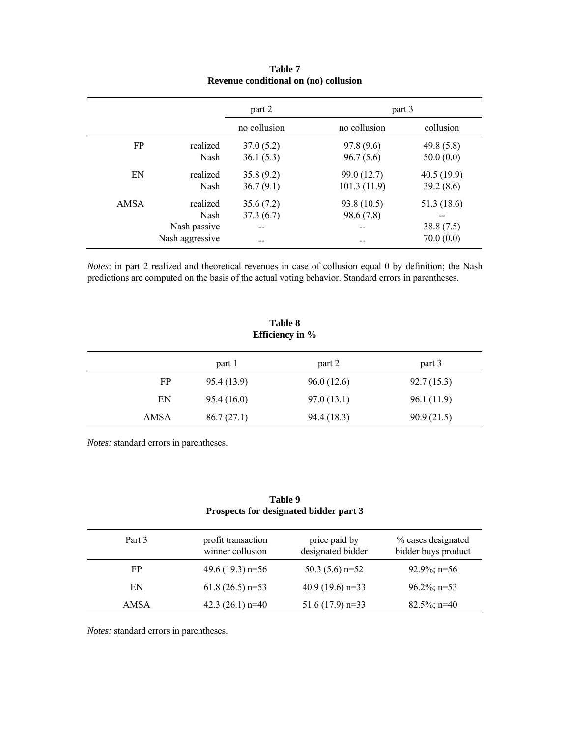|           |                                                            | part 2                       | part 3                          |                                       |
|-----------|------------------------------------------------------------|------------------------------|---------------------------------|---------------------------------------|
|           |                                                            | no collusion                 | no collusion                    | collusion                             |
| <b>FP</b> | realized<br>Nash                                           | 37.0(5.2)<br>36.1(5.3)       | 97.8(9.6)<br>96.7(5.6)          | 49.8 $(5.8)$<br>50.0(0.0)             |
| EN        | realized<br><b>Nash</b>                                    | 35.8(9.2)<br>36.7(9.1)       | 99.0 (12.7)<br>101.3(11.9)      | 40.5(19.9)<br>39.2(8.6)               |
| AMSA      | realized<br><b>Nash</b><br>Nash passive<br>Nash aggressive | 35.6(7.2)<br>37.3(6.7)<br>-- | 93.8 (10.5)<br>98.6 (7.8)<br>-- | 51.3 (18.6)<br>38.8(7.5)<br>70.0(0.0) |

**Table 7 Revenue conditional on (no) collusion**

*Notes*: in part 2 realized and theoretical revenues in case of collusion equal 0 by definition; the Nash predictions are computed on the basis of the actual voting behavior. Standard errors in parentheses.

**Table 8 Efficiency in %**

|      | part 1      | part 2      | part 3     |
|------|-------------|-------------|------------|
| FP   | 95.4 (13.9) | 96.0(12.6)  | 92.7(15.3) |
| EN   | 95.4 (16.0) | 97.0(13.1)  | 96.1(11.9) |
| AMSA | 86.7(27.1)  | 94.4 (18.3) | 90.9(21.5) |

*Notes:* standard errors in parentheses.

**Table 9 Prospects for designated bidder part 3**

| Part 3 | profit transaction<br>winner collusion | price paid by<br>designated bidder | % cases designated<br>bidder buys product |
|--------|----------------------------------------|------------------------------------|-------------------------------------------|
| FP     | 49.6 $(19.3)$ n=56                     | $50.3(5.6)$ n=52                   | $92.9\%$ ; n=56                           |
| EN     | $61.8(26.5)$ n=53                      | 40.9 (19.6) $n=33$                 | $96.2\%$ ; n=53                           |
| AMSA   | $42.3(26.1)$ n=40                      | $51.6(17.9)$ n=33                  | $82.5\%$ ; n=40                           |

*Notes:* standard errors in parentheses.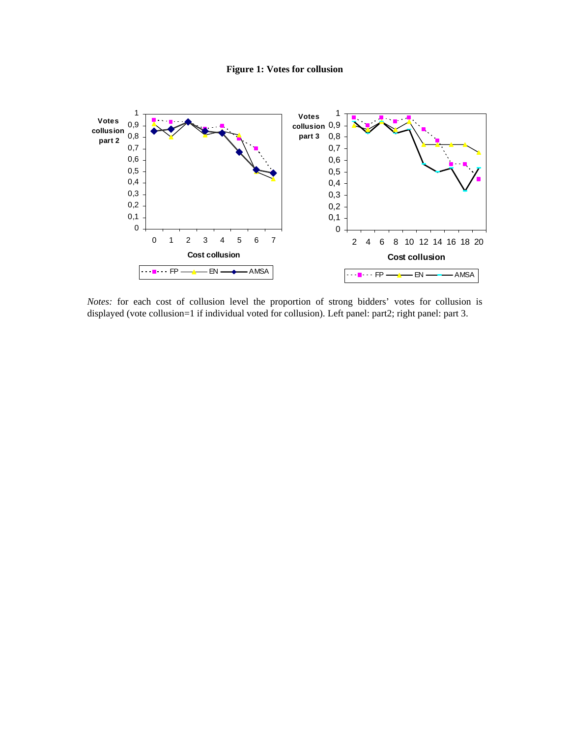## **Figure 1: Votes for collusion**



*Notes:* for each cost of collusion level the proportion of strong bidders' votes for collusion is displayed (vote collusion=1 if individual voted for collusion). Left panel: part2; right panel: part 3.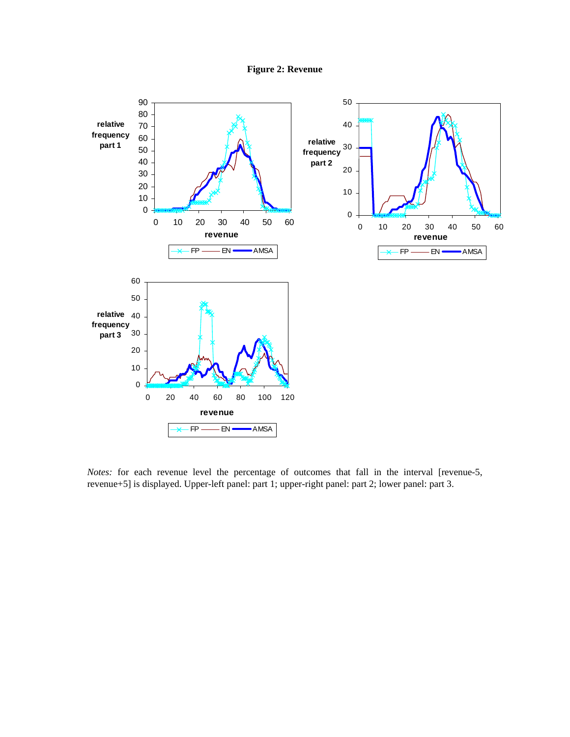



*Notes:* for each revenue level the percentage of outcomes that fall in the interval [revenue-5, revenue+5] is displayed. Upper-left panel: part 1; upper-right panel: part 2; lower panel: part 3.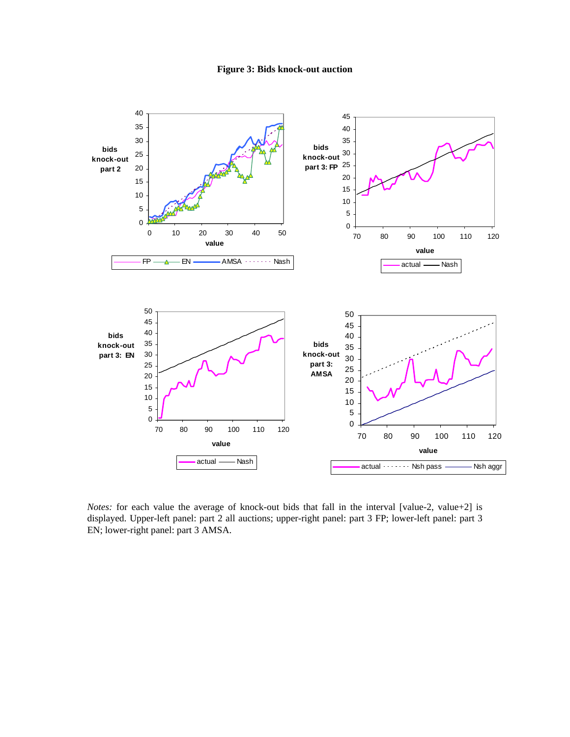



*Notes:* for each value the average of knock-out bids that fall in the interval [value-2, value+2] is displayed. Upper-left panel: part 2 all auctions; upper-right panel: part 3 FP; lower-left panel: part 3 EN; lower-right panel: part 3 AMSA.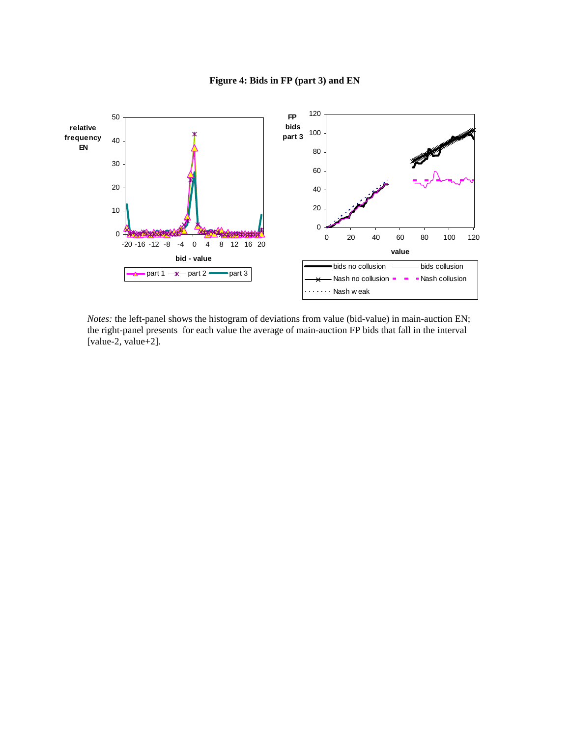



*Notes:* the left-panel shows the histogram of deviations from value (bid-value) in main-auction EN; the right-panel presents for each value the average of main-auction FP bids that fall in the interval [value-2, value+2].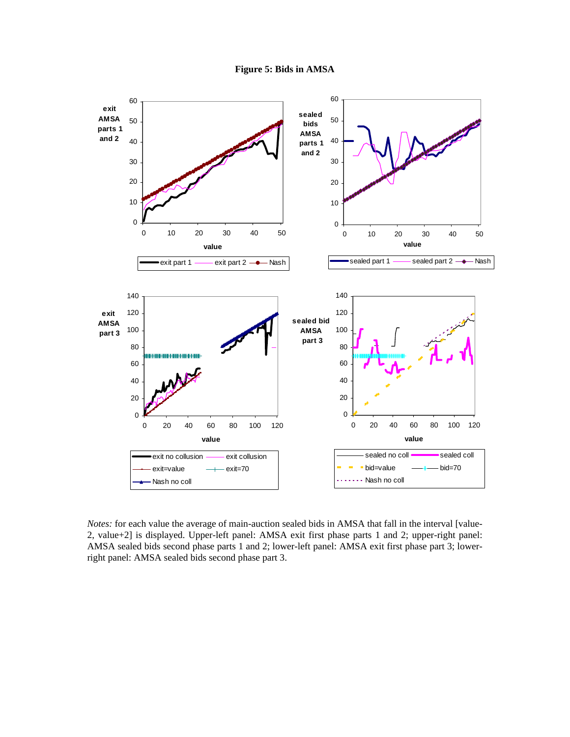



*Notes:* for each value the average of main-auction sealed bids in AMSA that fall in the interval [value-2, value+2] is displayed. Upper-left panel: AMSA exit first phase parts 1 and 2; upper-right panel: AMSA sealed bids second phase parts 1 and 2; lower-left panel: AMSA exit first phase part 3; lowerright panel: AMSA sealed bids second phase part 3.